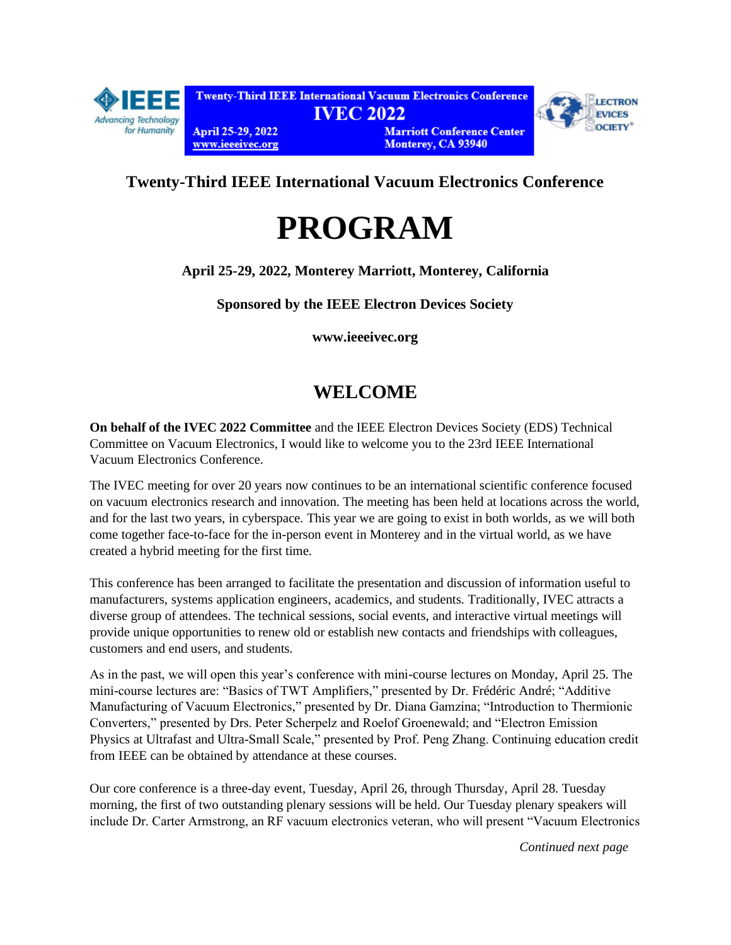

# **Twenty-Third IEEE International Vacuum Electronics Conference**

# **PROGRAM**

**April 25-29, 2022, Monterey Marriott, Monterey, California**

**Sponsored by the IEEE Electron Devices Society**

**[www.ieeeivec.org](http://www.ieeeivec.org/)**

# **WELCOME**

**On behalf of the IVEC 2022 Committee** and the IEEE Electron Devices Society (EDS) Technical Committee on Vacuum Electronics, I would like to welcome you to the [23rd IEEE International](https://ieeeivec.org/)  [Vacuum Electronics Conference.](https://ieeeivec.org/)

The IVEC meeting for over 20 years now continues to be an international scientific conference focused on vacuum electronics research and innovation. The meeting has been held at locations across the world, and for the last two years, in cyberspace. This year we are going to exist in both worlds, as we will both come together face-to-face for the in-person event in Monterey and in the virtual world, as we have created a hybrid meeting for the first time.

This conference has been arranged to facilitate the presentation and discussion of information useful to manufacturers, systems application engineers, academics, and students. Traditionally, IVEC attracts a diverse group of attendees. The technical sessions, social events, and interactive virtual meetings will provide unique opportunities to renew old or establish new contacts and friendships with colleagues, customers and end users, and students.

As in the past, we will open this year's conference with mini-course lectures on Monday, April 25. The mini-course lectures are: "Basics of TWT Amplifiers," presented by Dr. Frédéric André; "Additive Manufacturing of Vacuum Electronics," presented by Dr. Diana Gamzina; "Introduction to Thermionic Converters," presented by Drs. Peter Scherpelz and Roelof Groenewald; and "Electron Emission Physics at Ultrafast and Ultra-Small Scale," presented by Prof. Peng Zhang. Continuing education credit from IEEE can be obtained by attendance at these courses.

Our core conference is a three-day event, Tuesday, April 26, through Thursday, April 28. Tuesday morning, the first of two outstanding plenary sessions will be held. Our Tuesday plenary speakers will include Dr. Carter Armstrong, an RF vacuum electronics veteran, who will present "Vacuum Electronics

*Continued next page*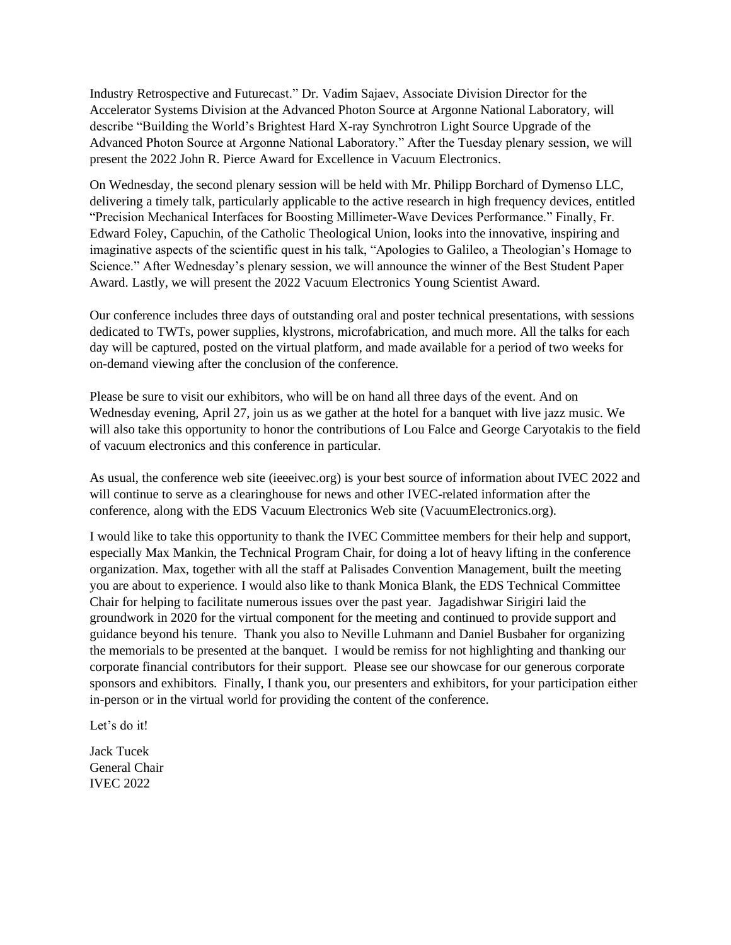Industry Retrospective and Futurecast." Dr. Vadim Sajaev, Associate Division Director for the Accelerator Systems Division at the Advanced Photon Source at Argonne National Laboratory, will describe "Building the World's Brightest Hard X-ray Synchrotron Light Source Upgrade of the Advanced Photon Source at Argonne National Laboratory." After the Tuesday plenary session, we will present the 2022 John R. Pierce Award for Excellence in Vacuum Electronics.

On Wednesday, the second plenary session will be held with Mr. Philipp Borchard of Dymenso LLC, delivering a timely talk, particularly applicable to the active research in high frequency devices, entitled "Precision Mechanical Interfaces for Boosting Millimeter-Wave Devices Performance." Finally, Fr. Edward Foley, Capuchin, of the Catholic Theological Union, looks into the innovative, inspiring and imaginative aspects of the scientific quest in his talk, "Apologies to Galileo, a Theologian's Homage to Science." After Wednesday's plenary session, we will announce the winner of the Best Student Paper Award. Lastly, we will present the 2022 Vacuum Electronics Young Scientist Award.

Our conference includes three days of outstanding oral and poster technical presentations, with sessions dedicated to TWTs, power supplies, klystrons, microfabrication, and much more. All the talks for each day will be captured, posted on the virtual platform, and made available for a period of two weeks for on-demand viewing after the conclusion of the conference.

Please be sure to visit our exhibitors, who will be on hand all three days of the event. And on Wednesday evening, April 27, join us as we gather at the hotel for a banquet with live jazz music. We will also take this opportunity to honor the contributions of Lou Falce and George Caryotakis to the field of vacuum electronics and this conference in particular.

As usual, the conference [web site](https://ieeeivec.org/) (ieeeivec.org) is your best source of information about IVEC 2022 and will continue to serve as a clearinghouse for news and other IVEC-related information after the conference, along with th[e EDS Vacuum Electronics Web site](https://vacuumelectronics.org/) (VacuumElectronics.org).

I would like to take this opportunity to thank the IVEC Committee members for their help and support, especially Max Mankin, the Technical Program Chair, for doing a lot of heavy lifting in the conference organization. Max, together with all the staff at Palisades Convention Management, built the meeting you are about to experience. I would also like to thank Monica Blank, the EDS Technical Committee Chair for helping to facilitate numerous issues over the past year. Jagadishwar Sirigiri laid the groundwork in 2020 for the virtual component for the meeting and continued to provide support and guidance beyond his tenure. Thank you also to Neville Luhmann and Daniel Busbaher for organizing the memorials to be presented at the banquet. I would be remiss for not highlighting and thanking our corporate financial contributors for their support. Please see our showcase for our generous corporate sponsors and exhibitors. Finally, I thank you, our presenters and exhibitors, for your participation either in-person or in the virtual world for providing the content of the conference.

Let's do it!

Jack Tucek General Chair IVEC 2022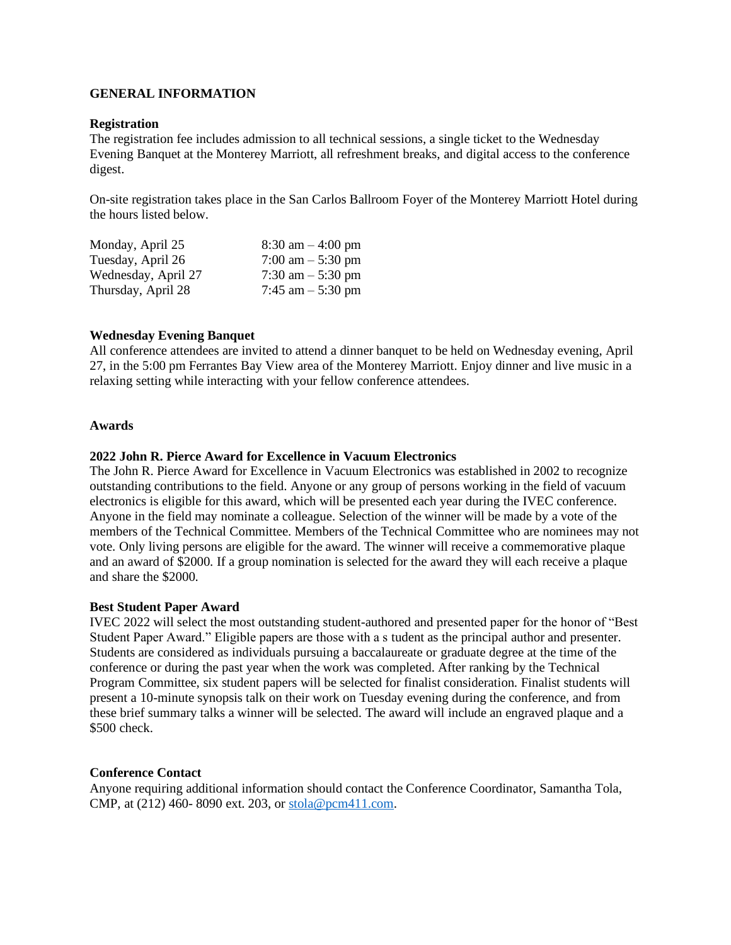# **GENERAL INFORMATION**

## **Registration**

The registration fee includes admission to all technical sessions, a single ticket to the Wednesday Evening Banquet at the Monterey Marriott, all refreshment breaks, and digital access to the conference digest.

On-site registration takes place in the San Carlos Ballroom Foyer of the Monterey Marriott Hotel during the hours listed below.

| Monday, April 25    | $8:30 \text{ am} - 4:00 \text{ pm}$ |
|---------------------|-------------------------------------|
| Tuesday, April 26   | 7:00 am $-$ 5:30 pm                 |
| Wednesday, April 27 | 7:30 am $-$ 5:30 pm                 |
| Thursday, April 28  | 7:45 am $-$ 5:30 pm                 |

# **Wednesday Evening Banquet**

All conference attendees are invited to attend a dinner banquet to be held on Wednesday evening, April 27, in the 5:00 pm Ferrantes Bay View area of the Monterey Marriott. Enjoy dinner and live music in a relaxing setting while interacting with your fellow conference attendees.

# **Awards**

# **2022 John R. Pierce Award for Excellence in Vacuum Electronics**

The John R. Pierce Award for Excellence in Vacuum Electronics was established in 2002 to recognize outstanding contributions to the field. Anyone or any group of persons working in the field of vacuum electronics is eligible for this award, which will be presented each year during the IVEC conference. Anyone in the field may nominate a colleague. Selection of the winner will be made by a vote of the members of the Technical Committee. Members of the Technical Committee who are nominees may not vote. Only living persons are eligible for the award. The winner will receive a commemorative plaque and an award of \$2000. If a group nomination is selected for the award they will each receive a plaque and share the \$2000.

## **Best Student Paper Award**

IVEC 2022 will select the most outstanding student-authored and presented paper for the honor of "Best Student Paper Award." Eligible papers are those with a s tudent as the principal author and presenter. Students are considered as individuals pursuing a baccalaureate or graduate degree at the time of the conference or during the past year when the work was completed. After ranking by the Technical Program Committee, six student papers will be selected for finalist consideration. Finalist students will present a 10-minute synopsis talk on their work on Tuesday evening during the conference, and from these brief summary talks a winner will be selected. The award will include an engraved plaque and a \$500 check.

## **Conference Contact**

Anyone requiring additional information should contact the Conference Coordinator, Samantha Tola, CMP, at (212) 460- 8090 ext. 203, o[r stola@pcm411.com.](mailto:stola@pcm411.com)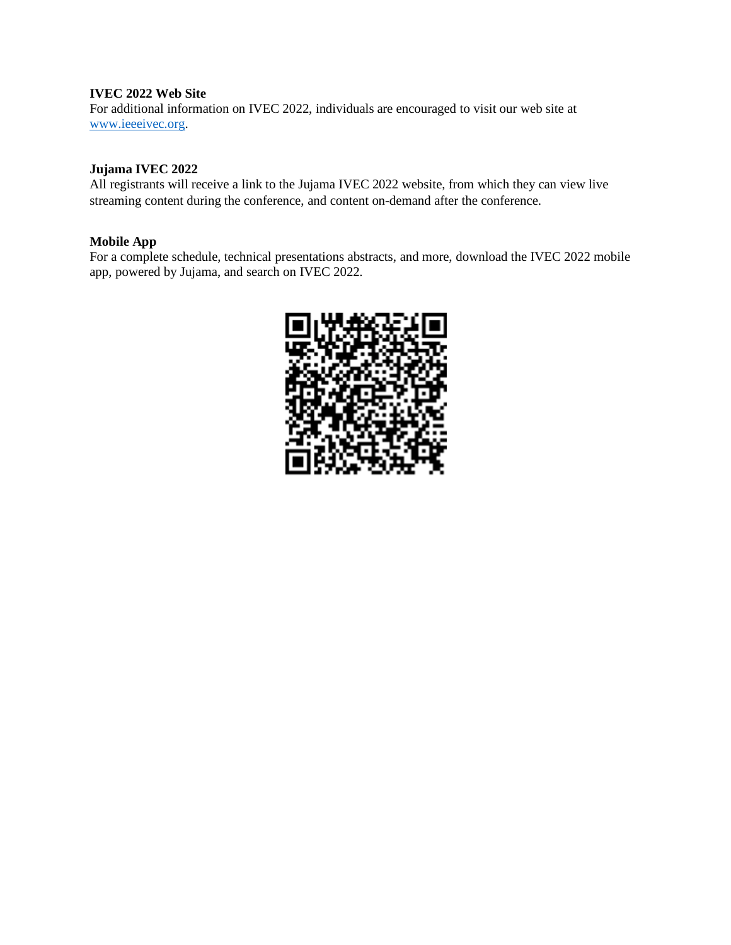# **IVEC 2022 Web Site**

For additional information on IVEC 2022, individuals are encouraged to visit our web site at [www.ieeeivec.org.](http://www.ieeeivec.org/)

# **Jujama IVEC 2022**

All registrants will receive a link to the Jujama IVEC 2022 website, from which they can view live streaming content during the conference, and content on-demand after the conference.

# **Mobile App**

For a complete schedule, technical presentations abstracts, and more, download the IVEC 2022 mobile app, powered by Jujama, and search on IVEC 2022.

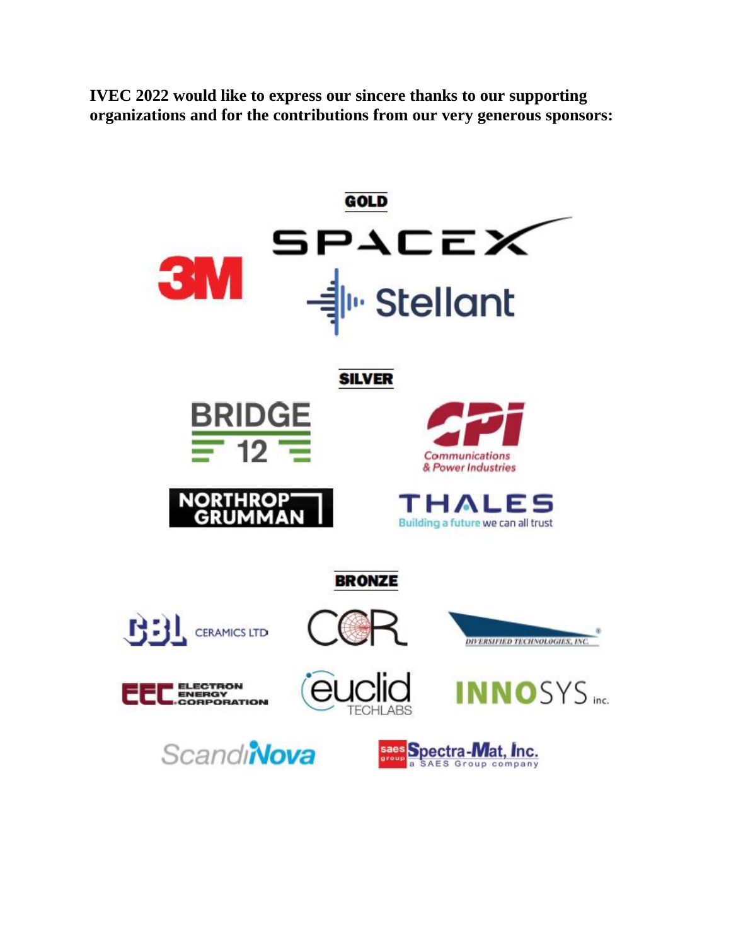**IVEC 2022 would like to express our sincere thanks to our supporting organizations and for the contributions from our very generous sponsors:**

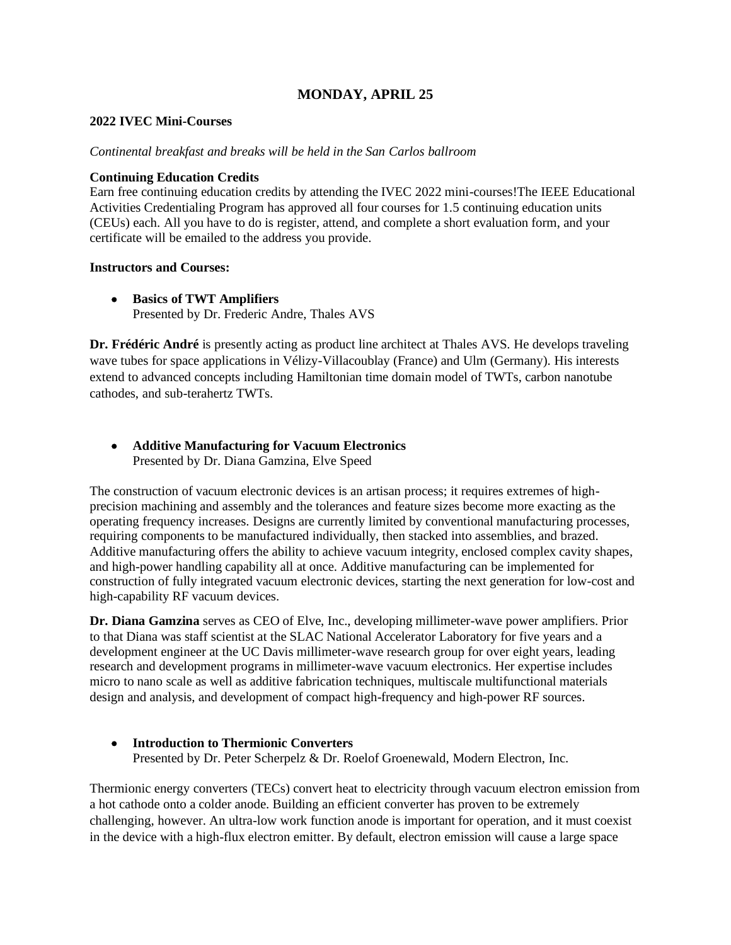# **MONDAY, APRIL 25**

# **2022 IVEC Mini-Courses**

## *Continental breakfast and breaks will be held in the San Carlos ballroom*

# **Continuing Education Credits**

Earn free continuing education credits by attending the IVEC 2022 mini-courses!The IEEE Educational Activities Credentialing Program has approved all four courses for 1.5 continuing education units (CEUs) each. All you have to do is register, attend, and complete a short evaluation form, and your certificate will be emailed to the address you provide.

# **Instructors and Courses:**

• **Basics of TWT Amplifiers** Presented by Dr. Frederic Andre, Thales AVS

**Dr. Frédéric André** is presently acting as product line architect at Thales AVS. He develops traveling wave tubes for space applications in Vélizy-Villacoublay (France) and Ulm (Germany). His interests extend to advanced concepts including Hamiltonian time domain model of TWTs, carbon nanotube cathodes, and sub-terahertz TWTs.

# • **Additive Manufacturing for Vacuum Electronics** Presented by Dr. Diana Gamzina, Elve Speed

The construction of vacuum electronic devices is an artisan process; it requires extremes of highprecision machining and assembly and the tolerances and feature sizes become more exacting as the operating frequency increases. Designs are currently limited by conventional manufacturing processes, requiring components to be manufactured individually, then stacked into assemblies, and brazed. Additive manufacturing offers the ability to achieve vacuum integrity, enclosed complex cavity shapes, and high-power handling capability all at once. Additive manufacturing can be implemented for construction of fully integrated vacuum electronic devices, starting the next generation for low-cost and high-capability RF vacuum devices.

**Dr. Diana Gamzina** serves as CEO of Elve, Inc., developing millimeter-wave power amplifiers. Prior to that Diana was staff scientist at the SLAC National Accelerator Laboratory for five years and a development engineer at the UC Davis millimeter-wave research group for over eight years, leading research and development programs in millimeter-wave vacuum electronics. Her expertise includes micro to nano scale as well as additive fabrication techniques, multiscale multifunctional materials design and analysis, and development of compact high-frequency and high-power RF sources.

# • **Introduction to Thermionic Converters**

Presented by Dr. Peter Scherpelz & Dr. Roelof Groenewald, Modern Electron, Inc.

Thermionic energy converters (TECs) convert heat to electricity through vacuum electron emission from a hot cathode onto a colder anode. Building an efficient converter has proven to be extremely challenging, however. An ultra-low work function anode is important for operation, and it must coexist in the device with a high-flux electron emitter. By default, electron emission will cause a large space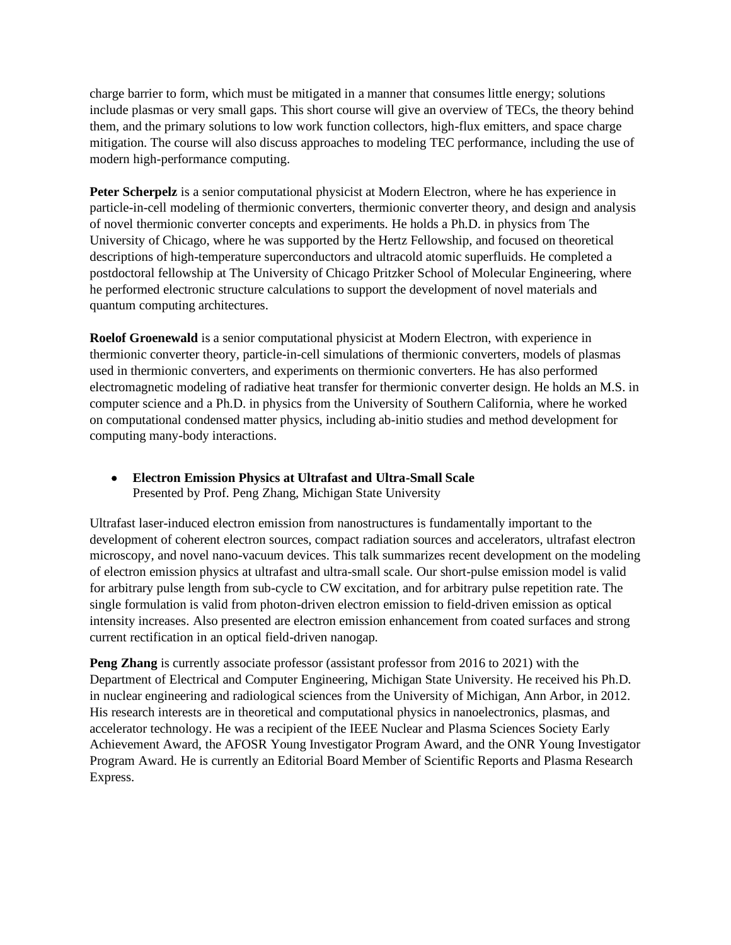charge barrier to form, which must be mitigated in a manner that consumes little energy; solutions include plasmas or very small gaps. This short course will give an overview of TECs, the theory behind them, and the primary solutions to low work function collectors, high-flux emitters, and space charge mitigation. The course will also discuss approaches to modeling TEC performance, including the use of modern high-performance computing.

**Peter Scherpelz** is a senior computational physicist at Modern Electron, where he has experience in particle-in-cell modeling of thermionic converters, thermionic converter theory, and design and analysis of novel thermionic converter concepts and experiments. He holds a Ph.D. in physics from The University of Chicago, where he was supported by the Hertz Fellowship, and focused on theoretical descriptions of high-temperature superconductors and ultracold atomic superfluids. He completed a postdoctoral fellowship at The University of Chicago Pritzker School of Molecular Engineering, where he performed electronic structure calculations to support the development of novel materials and quantum computing architectures.

**Roelof Groenewald** is a senior computational physicist at Modern Electron, with experience in thermionic converter theory, particle-in-cell simulations of thermionic converters, models of plasmas used in thermionic converters, and experiments on thermionic converters. He has also performed electromagnetic modeling of radiative heat transfer for thermionic converter design. He holds an M.S. in computer science and a Ph.D. in physics from the University of Southern California, where he worked on computational condensed matter physics, including ab-initio studies and method development for computing many-body interactions.

• **Electron Emission Physics at Ultrafast and Ultra-Small Scale** Presented by Prof. Peng Zhang, Michigan State University

Ultrafast laser-induced electron emission from nanostructures is fundamentally important to the development of coherent electron sources, compact radiation sources and accelerators, ultrafast electron microscopy, and novel nano-vacuum devices. This talk summarizes recent development on the modeling of electron emission physics at ultrafast and ultra-small scale. Our short-pulse emission model is valid for arbitrary pulse length from sub-cycle to CW excitation, and for arbitrary pulse repetition rate. The single formulation is valid from photon-driven electron emission to field-driven emission as optical intensity increases. Also presented are electron emission enhancement from coated surfaces and strong current rectification in an optical field-driven nanogap.

**Peng Zhang** is currently associate professor (assistant professor from 2016 to 2021) with the Department of Electrical and Computer Engineering, Michigan State University. He received his Ph.D. in nuclear engineering and radiological sciences from the University of Michigan, Ann Arbor, in 2012. His research interests are in theoretical and computational physics in nanoelectronics, plasmas, and accelerator technology. He was a recipient of the IEEE Nuclear and Plasma Sciences Society Early Achievement Award, the AFOSR Young Investigator Program Award, and the ONR Young Investigator Program Award. He is currently an Editorial Board Member of Scientific Reports and Plasma Research Express.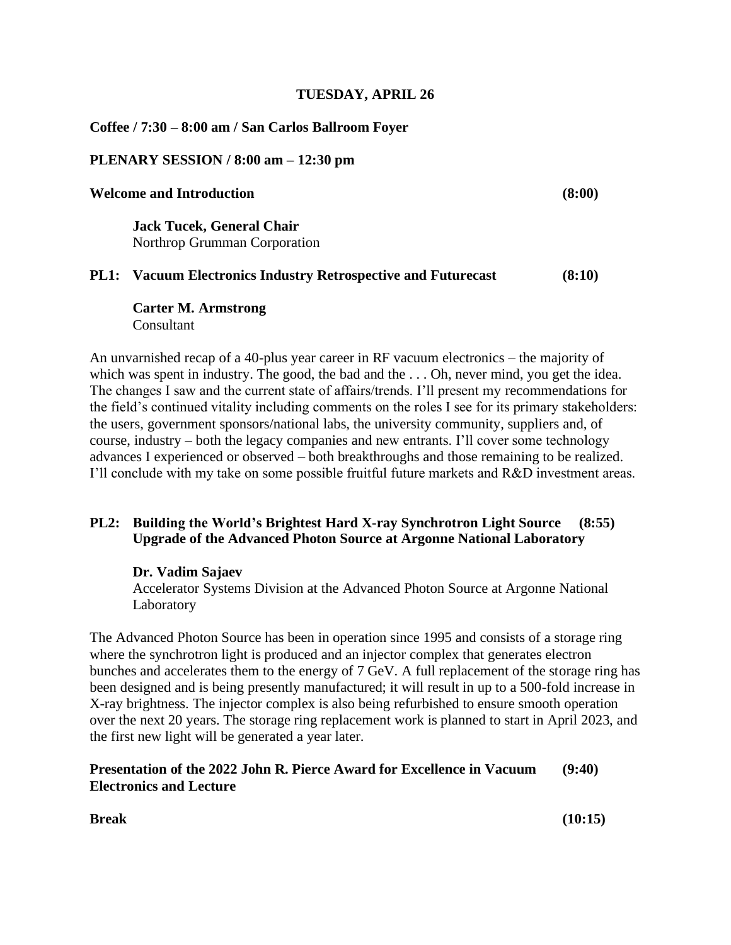# **TUESDAY, APRIL 26**

# **Coffee / 7:30 – 8:00 am / San Carlos Ballroom Foyer**

# **PLENARY SESSION / 8:00 am – 12:30 pm**

# **Welcome and Introduction (8:00)**

**Jack Tucek, General Chair** Northrop Grumman Corporation

# **PL1: Vacuum Electronics Industry Retrospective and Futurecast (8:10)**

**Carter M. Armstrong** Consultant

An unvarnished recap of a 40-plus year career in RF vacuum electronics – the majority of which was spent in industry. The good, the bad and the ... Oh, never mind, you get the idea. The changes I saw and the current state of affairs/trends. I'll present my recommendations for the field's continued vitality including comments on the roles I see for its primary stakeholders: the users, government sponsors/national labs, the university community, suppliers and, of course, industry – both the legacy companies and new entrants. I'll cover some technology advances I experienced or observed – both breakthroughs and those remaining to be realized. I'll conclude with my take on some possible fruitful future markets and R&D investment areas.

# **PL2: Building the World's Brightest Hard X-ray Synchrotron Light Source (8:55) Upgrade of the Advanced Photon Source at Argonne National Laboratory**

# **Dr. Vadim Sajaev**

Accelerator Systems Division at the Advanced Photon Source at Argonne National Laboratory

The Advanced Photon Source has been in operation since 1995 and consists of a storage ring where the synchrotron light is produced and an injector complex that generates electron bunches and accelerates them to the energy of 7 GeV. A full replacement of the storage ring has been designed and is being presently manufactured; it will result in up to a 500-fold increase in X-ray brightness. The injector complex is also being refurbished to ensure smooth operation over the next 20 years. The storage ring replacement work is planned to start in April 2023, and the first new light will be generated a year later.

# **Presentation of the 2022 John R. Pierce Award for Excellence in Vacuum (9:40) Electronics and Lecture**

**Break (10:15)**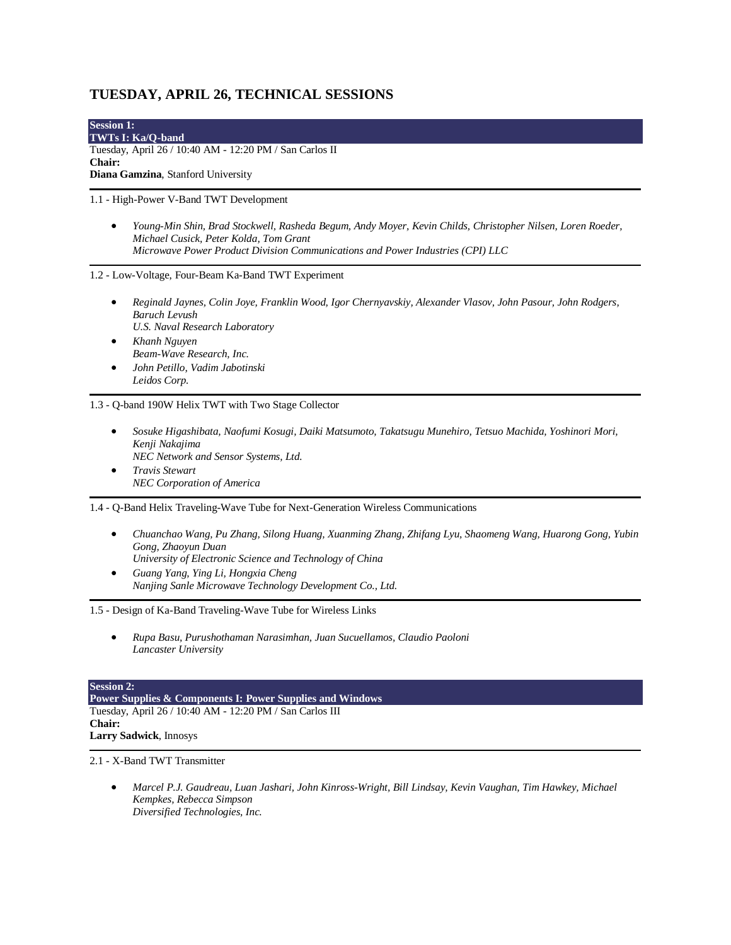# **TUESDAY, APRIL 26, TECHNICAL SESSIONS**

**Session 1: TWTs I: Ka/Q-band** Tuesday, April 26 / 10:40 AM - 12:20 PM / San Carlos II **Chair: Diana Gamzina**, Stanford University

1.1 - High-Power V-Band TWT Development

• *Young-Min Shin, Brad Stockwell, Rasheda Begum, Andy Moyer, Kevin Childs, Christopher Nilsen, Loren Roeder, Michael Cusick, Peter Kolda, Tom Grant Microwave Power Product Division Communications and Power Industries (CPI) LLC*

1.2 - Low-Voltage, Four-Beam Ka-Band TWT Experiment

- *Reginald Jaynes, Colin Joye, Franklin Wood, Igor Chernyavskiy, Alexander Vlasov, John Pasour, John Rodgers, Baruch Levush U.S. Naval Research Laboratory*
- *Khanh Nguyen Beam-Wave Research, Inc.*
- *John Petillo, Vadim Jabotinski Leidos Corp.*

1.3 - Q-band 190W Helix TWT with Two Stage Collector

- *Sosuke Higashibata, Naofumi Kosugi, Daiki Matsumoto, Takatsugu Munehiro, Tetsuo Machida, Yoshinori Mori, Kenji Nakajima NEC Network and Sensor Systems, Ltd.*
- *Travis Stewart NEC Corporation of America*

1.4 - Q-Band Helix Traveling-Wave Tube for Next-Generation Wireless Communications

- *Chuanchao Wang, Pu Zhang, Silong Huang, Xuanming Zhang, Zhifang Lyu, Shaomeng Wang, Huarong Gong, Yubin Gong, Zhaoyun Duan University of Electronic Science and Technology of China*
- *Guang Yang, Ying Li, Hongxia Cheng Nanjing Sanle Microwave Technology Development Co., Ltd.*

1.5 - Design of Ka-Band Traveling-Wave Tube for Wireless Links

• *Rupa Basu, Purushothaman Narasimhan, Juan Sucuellamos, Claudio Paoloni Lancaster University*

#### **Session 2:**

**Power Supplies & Components I: Power Supplies and Windows** Tuesday, April 26 / 10:40 AM - 12:20 PM / San Carlos III **Chair: Larry Sadwick**, Innosys

2.1 - X-Band TWT Transmitter

• *Marcel P.J. Gaudreau, Luan Jashari, John Kinross-Wright, Bill Lindsay, Kevin Vaughan, Tim Hawkey, Michael Kempkes, Rebecca Simpson Diversified Technologies, Inc.*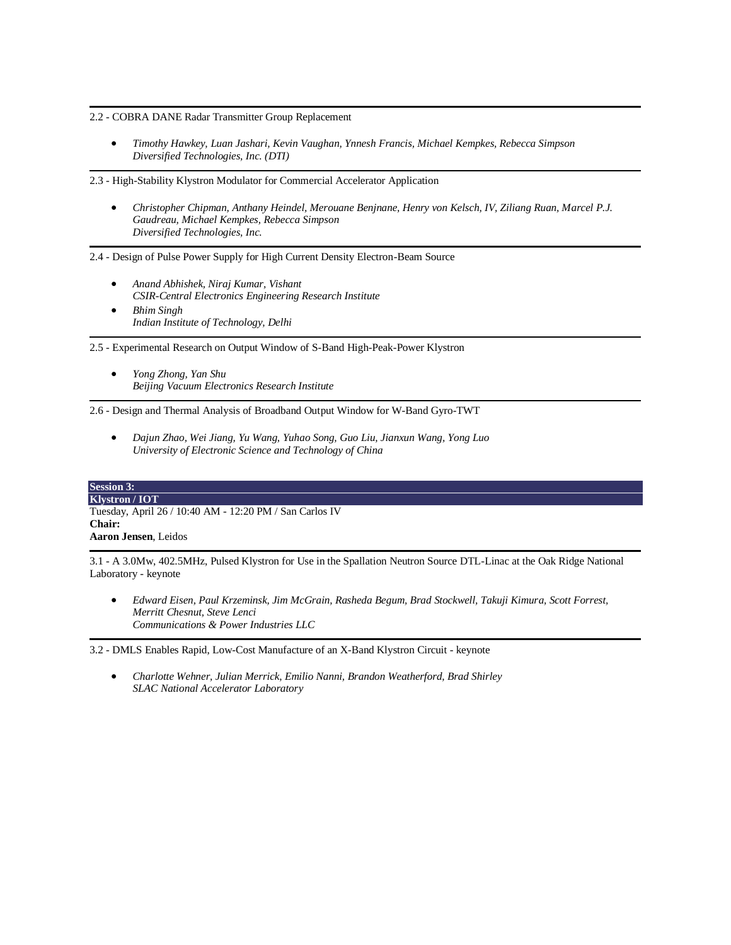2.2 - COBRA DANE Radar Transmitter Group Replacement

• *Timothy Hawkey, Luan Jashari, Kevin Vaughan, Ynnesh Francis, Michael Kempkes, Rebecca Simpson Diversified Technologies, Inc. (DTI)*

2.3 - High-Stability Klystron Modulator for Commercial Accelerator Application

• *Christopher Chipman, Anthany Heindel, Merouane Benjnane, Henry von Kelsch, IV, Ziliang Ruan, Marcel P.J. Gaudreau, Michael Kempkes, Rebecca Simpson Diversified Technologies, Inc.*

2.4 - Design of Pulse Power Supply for High Current Density Electron-Beam Source

- *Anand Abhishek, Niraj Kumar, Vishant CSIR-Central Electronics Engineering Research Institute*
- *Bhim Singh Indian Institute of Technology, Delhi*

2.5 - Experimental Research on Output Window of S-Band High-Peak-Power Klystron

• *Yong Zhong, Yan Shu Beijing Vacuum Electronics Research Institute*

2.6 - Design and Thermal Analysis of Broadband Output Window for W-Band Gyro-TWT

• *Dajun Zhao, Wei Jiang, Yu Wang, Yuhao Song, Guo Liu, Jianxun Wang, Yong Luo University of Electronic Science and Technology of China*

### **Session 3:**

**Klystron / IOT** Tuesday, April 26 / 10:40 AM - 12:20 PM / San Carlos IV **Chair: Aaron Jensen**, Leidos

3.1 - A 3.0Mw, 402.5MHz, Pulsed Klystron for Use in the Spallation Neutron Source DTL-Linac at the Oak Ridge National Laboratory - keynote

• *Edward Eisen, Paul Krzeminsk, Jim McGrain, Rasheda Begum, Brad Stockwell, Takuji Kimura, Scott Forrest, Merritt Chesnut, Steve Lenci Communications & Power Industries LLC*

3.2 - DMLS Enables Rapid, Low-Cost Manufacture of an X-Band Klystron Circuit - keynote

• *Charlotte Wehner, Julian Merrick, Emilio Nanni, Brandon Weatherford, Brad Shirley SLAC National Accelerator Laboratory*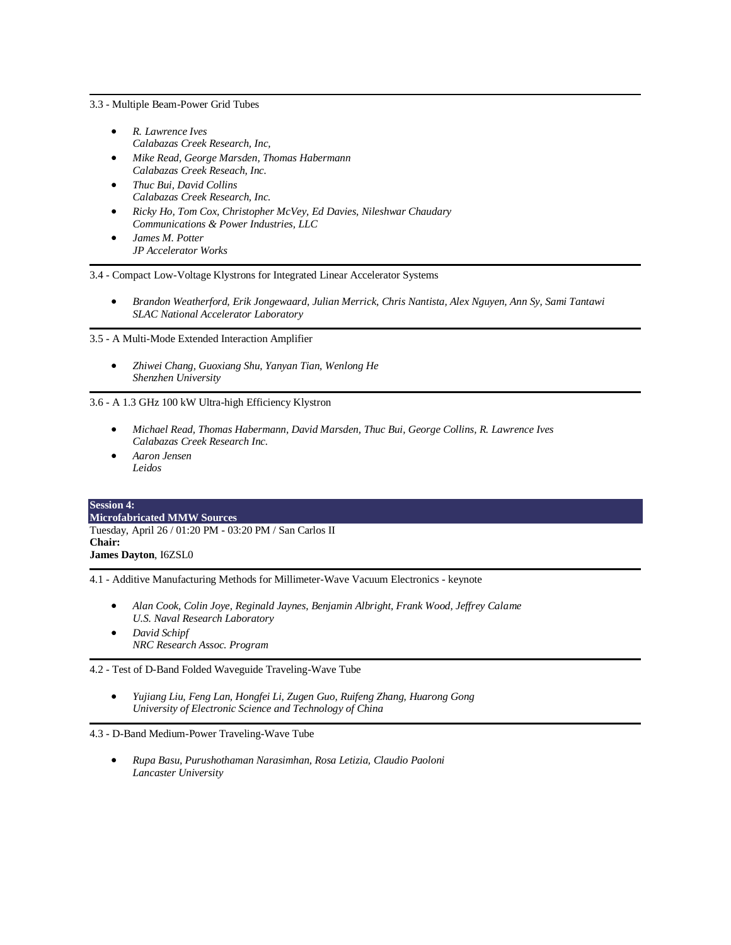3.3 - Multiple Beam-Power Grid Tubes

- *R. Lawrence Ives Calabazas Creek Research, Inc,*
- *Mike Read, George Marsden, Thomas Habermann Calabazas Creek Reseach, Inc.*
- *Thuc Bui, David Collins Calabazas Creek Research, Inc.*
- *Ricky Ho, Tom Cox, Christopher McVey, Ed Davies, Nileshwar Chaudary Communications & Power Industries, LLC*
- *James M. Potter JP Accelerator Works*

3.4 - Compact Low-Voltage Klystrons for Integrated Linear Accelerator Systems

• *Brandon Weatherford, Erik Jongewaard, Julian Merrick, Chris Nantista, Alex Nguyen, Ann Sy, Sami Tantawi SLAC National Accelerator Laboratory*

3.5 - A Multi-Mode Extended Interaction Amplifier

• *Zhiwei Chang, Guoxiang Shu, Yanyan Tian, Wenlong He Shenzhen University*

3.6 - A 1.3 GHz 100 kW Ultra-high Efficiency Klystron

- *Michael Read, Thomas Habermann, David Marsden, Thuc Bui, George Collins, R. Lawrence Ives Calabazas Creek Research Inc.*
- *Aaron Jensen Leidos*

| <b>Session 4:</b>                                       |  |
|---------------------------------------------------------|--|
| <b>Microfabricated MMW Sources</b>                      |  |
| Tuesday, April 26 / 01:20 PM - 03:20 PM / San Carlos II |  |
| Chair:                                                  |  |
| <b>James Dayton, I6ZSLO</b>                             |  |

4.1 - Additive Manufacturing Methods for Millimeter-Wave Vacuum Electronics - keynote

- *Alan Cook, Colin Joye, Reginald Jaynes, Benjamin Albright, Frank Wood, Jeffrey Calame U.S. Naval Research Laboratory*
- *David Schipf NRC Research Assoc. Program*

4.2 - Test of D-Band Folded Waveguide Traveling-Wave Tube

• *Yujiang Liu, Feng Lan, Hongfei Li, Zugen Guo, Ruifeng Zhang, Huarong Gong University of Electronic Science and Technology of China*

4.3 - D-Band Medium-Power Traveling-Wave Tube

• *Rupa Basu, Purushothaman Narasimhan, Rosa Letizia, Claudio Paoloni Lancaster University*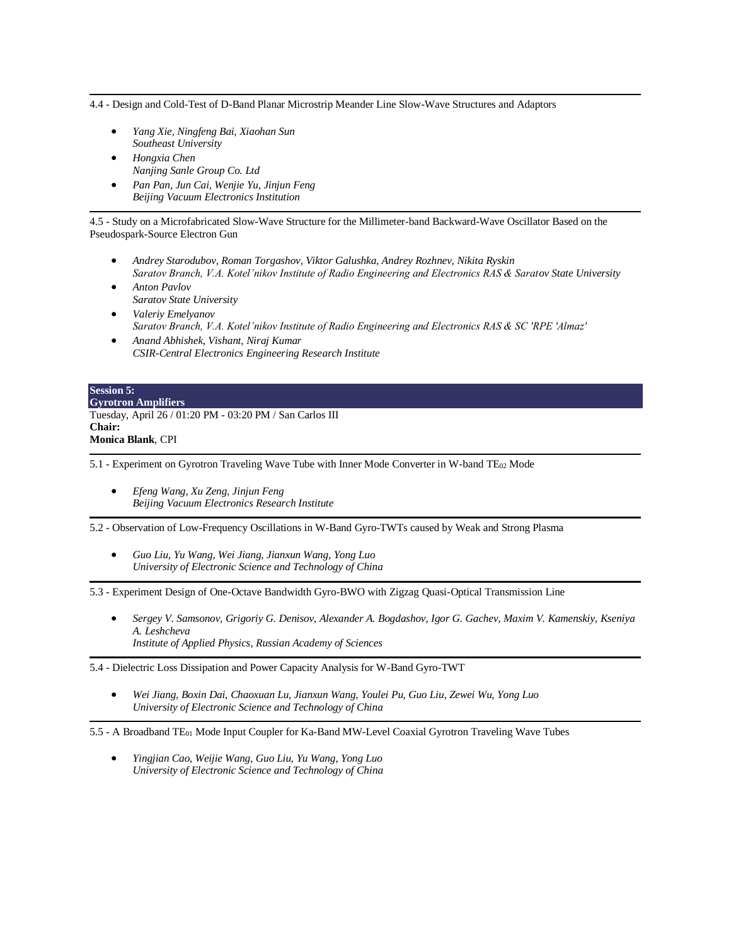4.4 - Design and Cold-Test of D-Band Planar Microstrip Meander Line Slow-Wave Structures and Adaptors

- *Yang Xie, Ningfeng Bai, Xiaohan Sun Southeast University*
- *Hongxia Chen Nanjing Sanle Group Co. Ltd*
- *Pan Pan, Jun Cai, Wenjie Yu, Jinjun Feng Beijing Vacuum Electronics Institution*

4.5 - Study on a Microfabricated Slow-Wave Structure for the Millimeter-band Backward-Wave Oscillator Based on the Pseudospark-Source Electron Gun

- *Andrey Starodubov, Roman Torgashov, Viktor Galushka, Andrey Rozhnev, Nikita Ryskin Saratov Branch, V.A. Kotel'nikov Institute of Radio Engineering and Electronics RAS & Saratov State University*
- *Anton Pavlov Saratov State University*
- *Valeriy Emelyanov Saratov Branch, V.A. Kotel'nikov Institute of Radio Engineering and Electronics RAS & SC 'RPE 'Almaz'*
- *Anand Abhishek, Vishant, Niraj Kumar CSIR-Central Electronics Engineering Research Institute*

| <b>Session 5:</b>                                        |
|----------------------------------------------------------|
| <b>Gyrotron Amplifiers</b>                               |
| Tuesday, April 26 / 01:20 PM - 03:20 PM / San Carlos III |
| <b>Chair:</b>                                            |
| <b>Monica Blank, CPI</b>                                 |

5.1 - Experiment on Gyrotron Traveling Wave Tube with Inner Mode Converter in W-band TE<sup>02</sup> Mode

• *Efeng Wang, Xu Zeng, Jinjun Feng Beijing Vacuum Electronics Research Institute*

5.2 - Observation of Low-Frequency Oscillations in W-Band Gyro-TWTs caused by Weak and Strong Plasma

• *Guo Liu, Yu Wang, Wei Jiang, Jianxun Wang, Yong Luo University of Electronic Science and Technology of China*

5.3 - Experiment Design of One-Octave Bandwidth Gyro-BWO with Zigzag Quasi-Optical Transmission Line

• *Sergey V. Samsonov, Grigoriy G. Denisov, Alexander A. Bogdashov, Igor G. Gachev, Maxim V. Kamenskiy, Kseniya A. Leshcheva Institute of Applied Physics, Russian Academy of Sciences*

5.4 - Dielectric Loss Dissipation and Power Capacity Analysis for W-Band Gyro-TWT

• *Wei Jiang, Boxin Dai, Chaoxuan Lu, Jianxun Wang, Youlei Pu, Guo Liu, Zewei Wu, Yong Luo University of Electronic Science and Technology of China*

5.5 - A Broadband TE<sup>01</sup> Mode Input Coupler for Ka-Band MW-Level Coaxial Gyrotron Traveling Wave Tubes

• *Yingjian Cao, Weijie Wang, Guo Liu, Yu Wang, Yong Luo University of Electronic Science and Technology of China*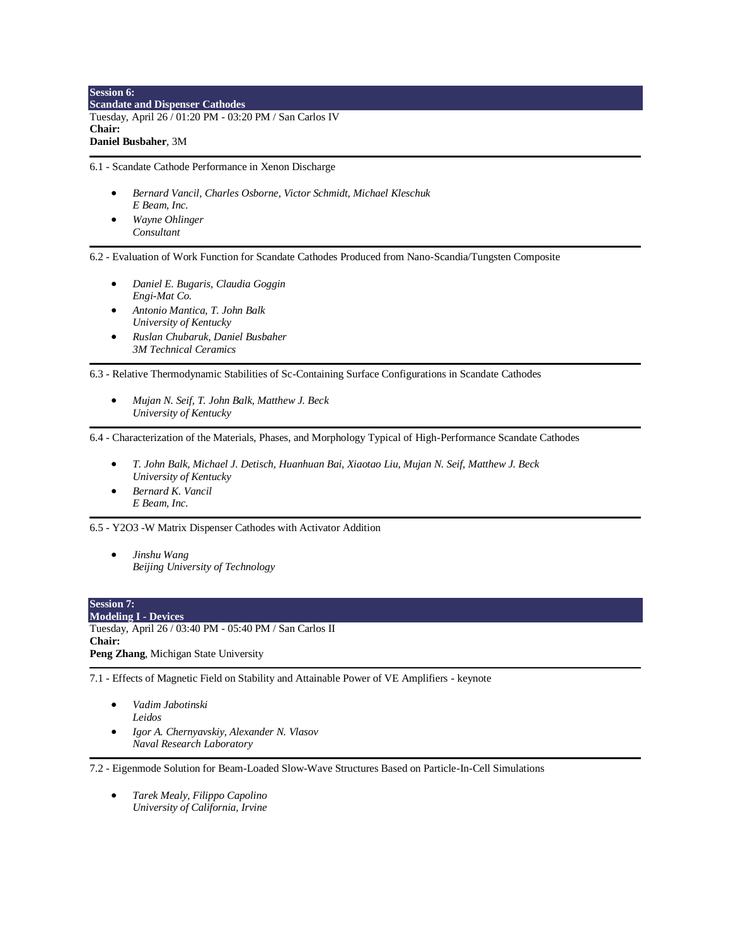**Session 6: Scandate and Dispenser Cathodes** Tuesday, April 26 / 01:20 PM - 03:20 PM / San Carlos IV **Chair: Daniel Busbaher**, 3M

6.1 - Scandate Cathode Performance in Xenon Discharge

- *Bernard Vancil, Charles Osborne, Victor Schmidt, Michael Kleschuk E Beam, Inc.*
- *Wayne Ohlinger Consultant*

6.2 - Evaluation of Work Function for Scandate Cathodes Produced from Nano-Scandia/Tungsten Composite

- *Daniel E. Bugaris, Claudia Goggin Engi-Mat Co.*
- *Antonio Mantica, T. John Balk University of Kentucky*
- *Ruslan Chubaruk, Daniel Busbaher 3M Technical Ceramics*

6.3 - Relative Thermodynamic Stabilities of Sc-Containing Surface Configurations in Scandate Cathodes

• *Mujan N. Seif, T. John Balk, Matthew J. Beck University of Kentucky*

6.4 - Characterization of the Materials, Phases, and Morphology Typical of High-Performance Scandate Cathodes

- *T. John Balk, Michael J. Detisch, Huanhuan Bai, Xiaotao Liu, Mujan N. Seif, Matthew J. Beck University of Kentucky*
- *Bernard K. Vancil E Beam, Inc.*

6.5 - Y2O3 -W Matrix Dispenser Cathodes with Activator Addition

• *Jinshu Wang Beijing University of Technology*

| <b>Session 7:</b>                                       |
|---------------------------------------------------------|
| <b>Modeling I - Devices</b>                             |
| Tuesday, April 26 / 03:40 PM - 05:40 PM / San Carlos II |
| <b>Chair:</b>                                           |
| <b>Peng Zhang, Michigan State University</b>            |

7.1 - Effects of Magnetic Field on Stability and Attainable Power of VE Amplifiers - keynote

- *Vadim Jabotinski Leidos*
- *Igor A. Chernyavskiy, Alexander N. Vlasov Naval Research Laboratory*

7.2 - Eigenmode Solution for Beam-Loaded Slow-Wave Structures Based on Particle-In-Cell Simulations

• *Tarek Mealy, Filippo Capolino University of California, Irvine*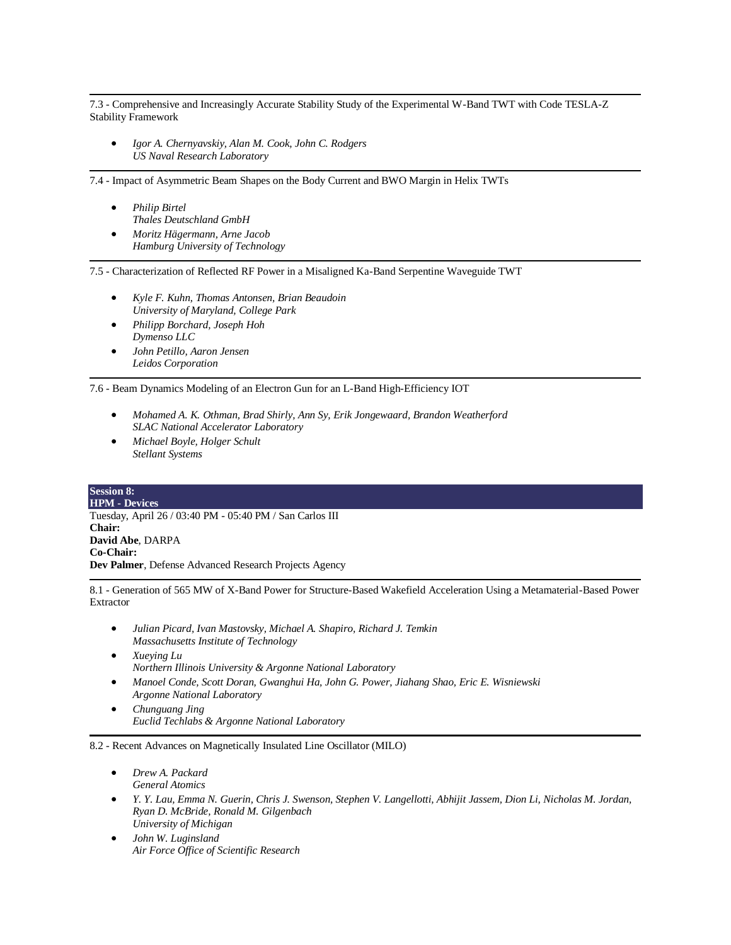7.3 - Comprehensive and Increasingly Accurate Stability Study of the Experimental W-Band TWT with Code TESLA-Z Stability Framework

• *Igor A. Chernyavskiy, Alan M. Cook, John C. Rodgers US Naval Research Laboratory*

7.4 - Impact of Asymmetric Beam Shapes on the Body Current and BWO Margin in Helix TWTs

- *Philip Birtel Thales Deutschland GmbH*
- *Moritz Hägermann, Arne Jacob Hamburg University of Technology*

7.5 - Characterization of Reflected RF Power in a Misaligned Ka-Band Serpentine Waveguide TWT

- *Kyle F. Kuhn, Thomas Antonsen, Brian Beaudoin University of Maryland, College Park*
- *Philipp Borchard, Joseph Hoh Dymenso LLC*
- *John Petillo, Aaron Jensen Leidos Corporation*

7.6 - Beam Dynamics Modeling of an Electron Gun for an L-Band High-Efficiency IOT

- *Mohamed A. K. Othman, Brad Shirly, Ann Sy, Erik Jongewaard, Brandon Weatherford SLAC National Accelerator Laboratory*
- *Michael Boyle, Holger Schult Stellant Systems*

#### **Session 8: HPM - Devices** Tuesday, April 26 / 03:40 PM - 05:40 PM / San Carlos III **Chair: David Abe**, DARPA **Co-Chair: Dev Palmer**, Defense Advanced Research Projects Agency

8.1 - Generation of 565 MW of X-Band Power for Structure-Based Wakefield Acceleration Using a Metamaterial-Based Power Extractor

- *Julian Picard, Ivan Mastovsky, Michael A. Shapiro, Richard J. Temkin Massachusetts Institute of Technology*
- *Xueying Lu Northern Illinois University & Argonne National Laboratory*
- *Manoel Conde, Scott Doran, Gwanghui Ha, John G. Power, Jiahang Shao, Eric E. Wisniewski Argonne National Laboratory*
- *Chunguang Jing Euclid Techlabs & Argonne National Laboratory*

8.2 - Recent Advances on Magnetically Insulated Line Oscillator (MILO)

- *Drew A. Packard General Atomics*
- *Y. Y. Lau, Emma N. Guerin, Chris J. Swenson, Stephen V. Langellotti, Abhijit Jassem, Dion Li, Nicholas M. Jordan, Ryan D. McBride, Ronald M. Gilgenbach University of Michigan*
- *John W. Luginsland Air Force Office of Scientific Research*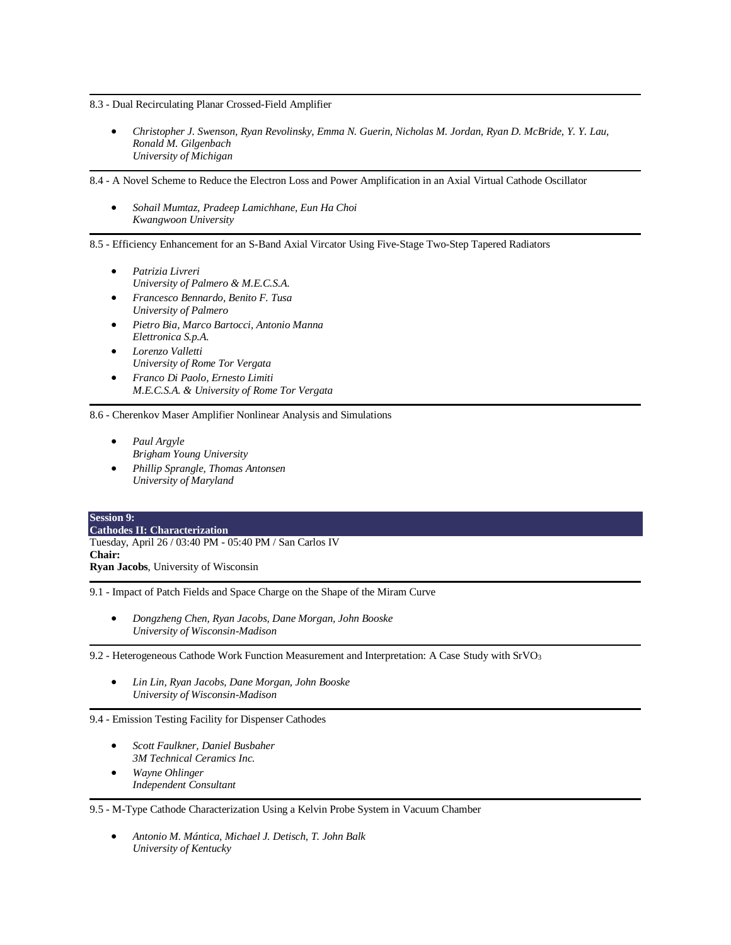8.3 - Dual Recirculating Planar Crossed-Field Amplifier

• *Christopher J. Swenson, Ryan Revolinsky, Emma N. Guerin, Nicholas M. Jordan, Ryan D. McBride, Y. Y. Lau, Ronald M. Gilgenbach University of Michigan*

8.4 - A Novel Scheme to Reduce the Electron Loss and Power Amplification in an Axial Virtual Cathode Oscillator

• *Sohail Mumtaz, Pradeep Lamichhane, Eun Ha Choi Kwangwoon University*

8.5 - Efficiency Enhancement for an S-Band Axial Vircator Using Five-Stage Two-Step Tapered Radiators

- *Patrizia Livreri University of Palmero & M.E.C.S.A.*
- *Francesco Bennardo, Benito F. Tusa University of Palmero*
- *Pietro Bia, Marco Bartocci, Antonio Manna Elettronica S.p.A.*
- *Lorenzo Valletti University of Rome Tor Vergata*
- *Franco Di Paolo, Ernesto Limiti M.E.C.S.A. & University of Rome Tor Vergata*

8.6 - Cherenkov Maser Amplifier Nonlinear Analysis and Simulations

- *Paul Argyle Brigham Young University*
- *Phillip Sprangle, Thomas Antonsen University of Maryland*

#### **Session 9: Cathodes II: Characterization** Tuesday, April 26 / 03:40 PM - 05:40 PM / San Carlos IV **Chair: Ryan Jacobs**, University of Wisconsin

9.1 - Impact of Patch Fields and Space Charge on the Shape of the Miram Curve

• *Dongzheng Chen, Ryan Jacobs, Dane Morgan, John Booske University of Wisconsin-Madison*

9.2 - Heterogeneous Cathode Work Function Measurement and Interpretation: A Case Study with SrVO<sup>3</sup>

• *Lin Lin, Ryan Jacobs, Dane Morgan, John Booske University of Wisconsin-Madison*

9.4 - Emission Testing Facility for Dispenser Cathodes

- *Scott Faulkner, Daniel Busbaher 3M Technical Ceramics Inc.*
- *Wayne Ohlinger Independent Consultant*

9.5 - M-Type Cathode Characterization Using a Kelvin Probe System in Vacuum Chamber

• *Antonio M. Mántica, Michael J. Detisch, T. John Balk University of Kentucky*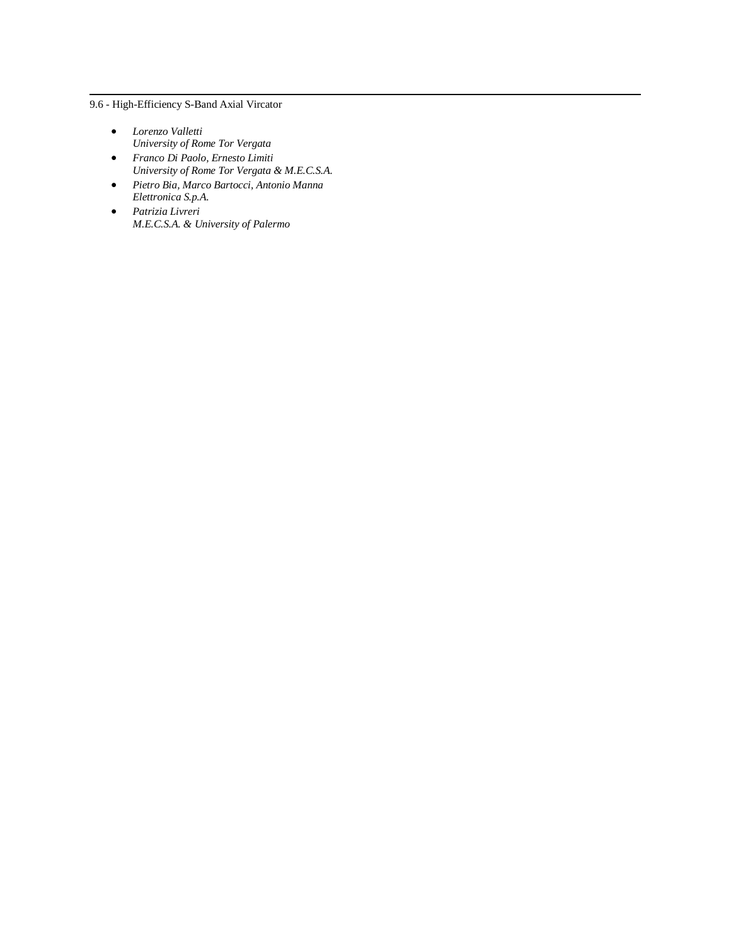9.6 - High-Efficiency S-Band Axial Vircator

- *Lorenzo Valletti University of Rome Tor Vergata*
- *Franco Di Paolo, Ernesto Limiti University of Rome Tor Vergata & M.E.C.S.A.*
- *Pietro Bia, Marco Bartocci, Antonio Manna Elettronica S.p.A.*
- *Patrizia Livreri M.E.C.S.A. & University of Palermo*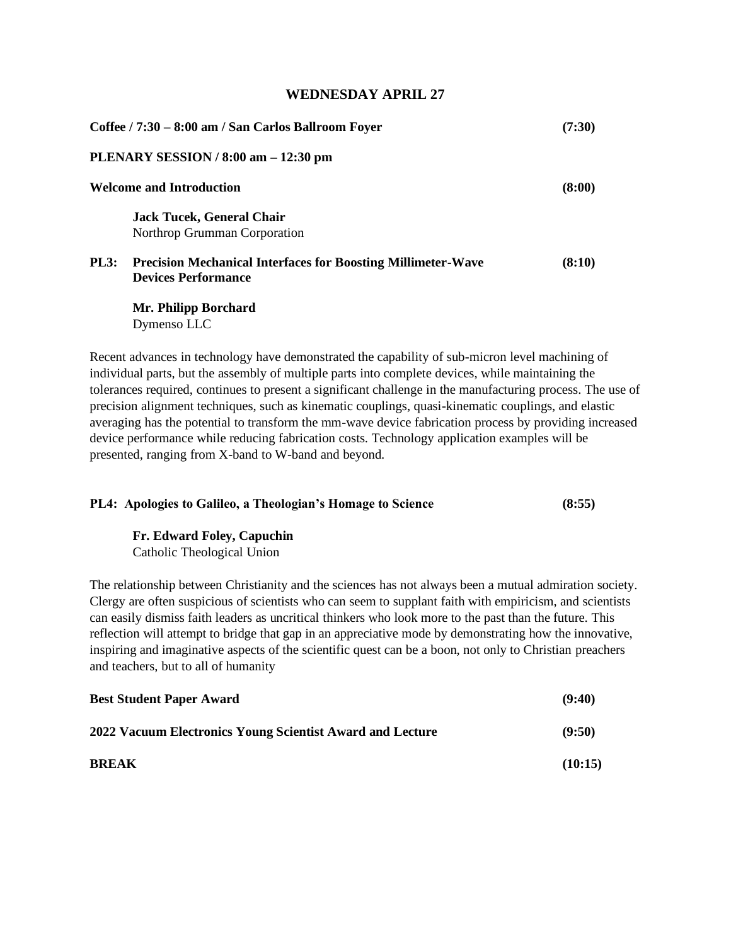# **WEDNESDAY APRIL 27**

| Coffee / 7:30 – 8:00 am / San Carlos Ballroom Foyer |                                                                                                   | (7:30) |
|-----------------------------------------------------|---------------------------------------------------------------------------------------------------|--------|
|                                                     | PLENARY SESSION / $8:00$ am $-12:30$ pm                                                           |        |
|                                                     | <b>Welcome and Introduction</b>                                                                   | (8:00) |
|                                                     | <b>Jack Tucek, General Chair</b><br>Northrop Grumman Corporation                                  |        |
| <b>PL3:</b>                                         | <b>Precision Mechanical Interfaces for Boosting Millimeter-Wave</b><br><b>Devices Performance</b> | (8:10) |
|                                                     |                                                                                                   |        |

**Mr. Philipp Borchard**  Dymenso LLC

Recent advances in technology have demonstrated the capability of sub-micron level machining of individual parts, but the assembly of multiple parts into complete devices, while maintaining the tolerances required, continues to present a significant challenge in the manufacturing process. The use of precision alignment techniques, such as kinematic couplings, quasi-kinematic couplings, and elastic averaging has the potential to transform the mm-wave device fabrication process by providing increased device performance while reducing fabrication costs. Technology application examples will be presented, ranging from X-band to W-band and beyond.

|  |  | PL4: Apologies to Galileo, a Theologian's Homage to Science | (8:55) |
|--|--|-------------------------------------------------------------|--------|
|  |  |                                                             |        |

**Fr. Edward Foley, Capuchin** Catholic Theological Union

The relationship between Christianity and the sciences has not always been a mutual admiration society. Clergy are often suspicious of scientists who can seem to supplant faith with empiricism, and scientists can easily dismiss faith leaders as uncritical thinkers who look more to the past than the future. This reflection will attempt to bridge that gap in an appreciative mode by demonstrating how the innovative, inspiring and imaginative aspects of the scientific quest can be a boon, not only to Christian preachers and teachers, but to all of humanity

| <b>Best Student Paper Award</b>                           | (9:40)  |
|-----------------------------------------------------------|---------|
| 2022 Vacuum Electronics Young Scientist Award and Lecture | (9:50)  |
| <b>BREAK</b>                                              | (10:15) |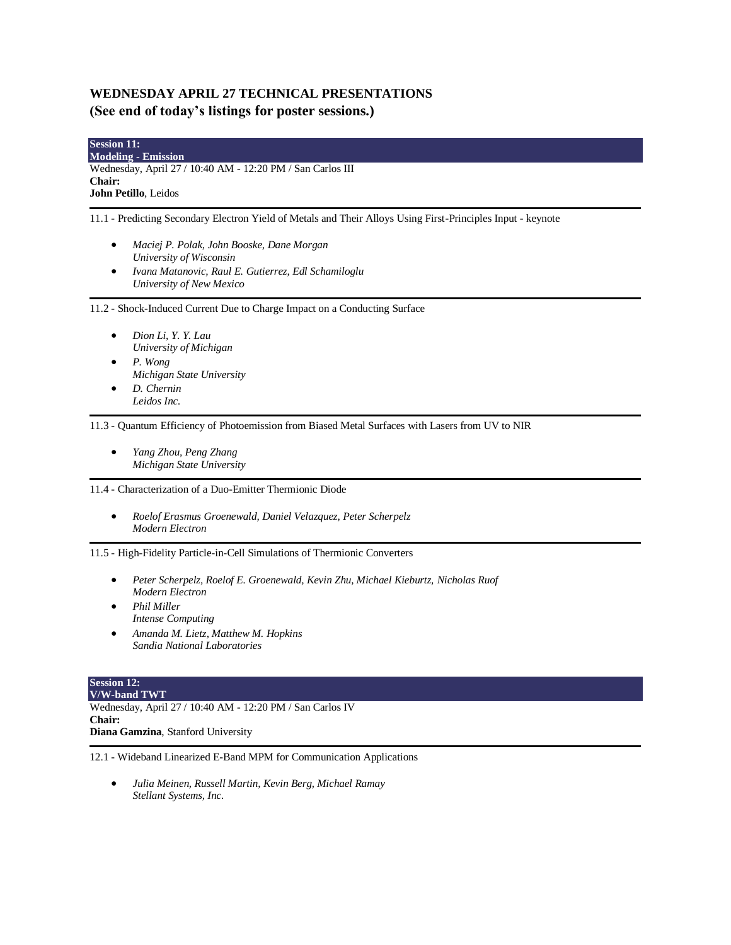# **WEDNESDAY APRIL 27 TECHNICAL PRESENTATIONS (See end of today's listings for poster sessions.)**

| <b>Session 11:</b>                                         |  |
|------------------------------------------------------------|--|
| <b>Modeling - Emission</b>                                 |  |
| Wednesday, April 27 / 10:40 AM - 12:20 PM / San Carlos III |  |
| <b>Chair:</b>                                              |  |
| <b>John Petillo, Leidos</b>                                |  |

11.1 - Predicting Secondary Electron Yield of Metals and Their Alloys Using First-Principles Input - keynote

- *Maciej P. Polak, John Booske, Dane Morgan University of Wisconsin*
- *Ivana Matanovic, Raul E. Gutierrez, Edl Schamiloglu University of New Mexico*

11.2 - Shock-Induced Current Due to Charge Impact on a Conducting Surface

- *Dion Li, Y. Y. Lau University of Michigan*
- *P. Wong Michigan State University*
- *D. Chernin Leidos Inc.*

11.3 - Quantum Efficiency of Photoemission from Biased Metal Surfaces with Lasers from UV to NIR

• *Yang Zhou, Peng Zhang Michigan State University*

11.4 - Characterization of a Duo-Emitter Thermionic Diode

• *Roelof Erasmus Groenewald, Daniel Velazquez, Peter Scherpelz Modern Electron*

11.5 - High-Fidelity Particle-in-Cell Simulations of Thermionic Converters

- *Peter Scherpelz, Roelof E. Groenewald, Kevin Zhu, Michael Kieburtz, Nicholas Ruof Modern Electron*
- *Phil Miller Intense Computing*
- *Amanda M. Lietz, Matthew M. Hopkins Sandia National Laboratories*

# **Session 12:**

**V/W-band TWT** Wednesday, April 27 / 10:40 AM - 12:20 PM / San Carlos IV **Chair: Diana Gamzina**, Stanford University

12.1 - Wideband Linearized E-Band MPM for Communication Applications

• *Julia Meinen, Russell Martin, Kevin Berg, Michael Ramay Stellant Systems, Inc.*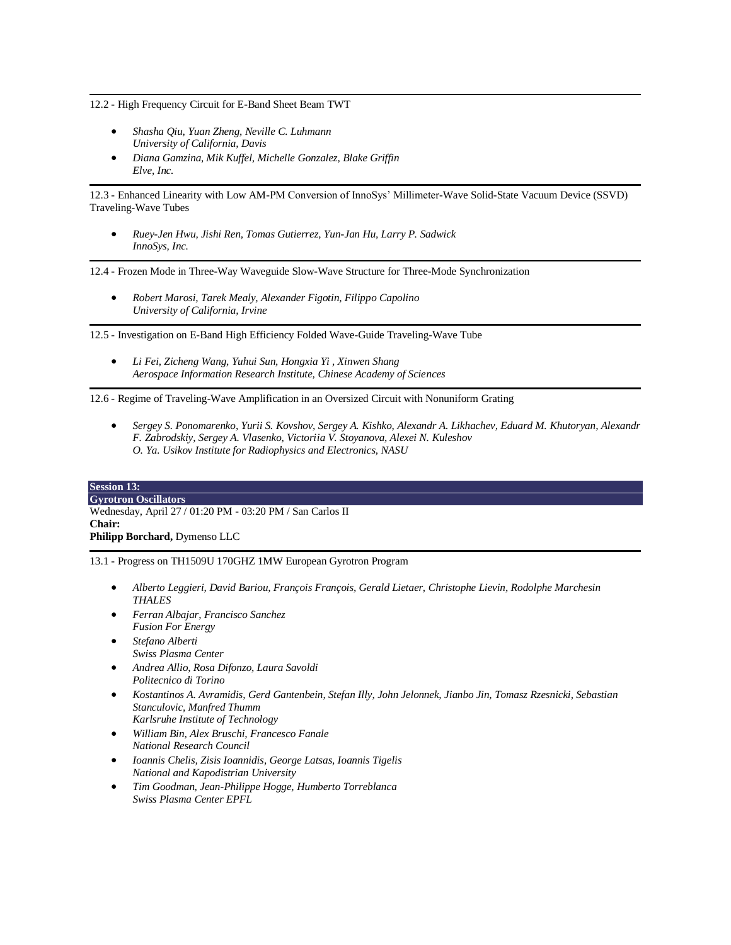12.2 - High Frequency Circuit for E-Band Sheet Beam TWT

- *Shasha Qiu, Yuan Zheng, Neville C. Luhmann University of California, Davis*
- *Diana Gamzina, Mik Kuffel, Michelle Gonzalez, Blake Griffin Elve, Inc.*

12.3 - Enhanced Linearity with Low AM-PM Conversion of InnoSys' Millimeter-Wave Solid-State Vacuum Device (SSVD) Traveling-Wave Tubes

• *Ruey-Jen Hwu, Jishi Ren, Tomas Gutierrez, Yun-Jan Hu, Larry P. Sadwick InnoSys, Inc.*

12.4 - Frozen Mode in Three-Way Waveguide Slow-Wave Structure for Three-Mode Synchronization

• *Robert Marosi, Tarek Mealy, Alexander Figotin, Filippo Capolino University of California, Irvine*

12.5 - Investigation on E-Band High Efficiency Folded Wave-Guide Traveling-Wave Tube

• *Li Fei, Zicheng Wang, Yuhui Sun, Hongxia Yi , Xinwen Shang Aerospace Information Research Institute, Chinese Academy of Sciences*

12.6 - Regime of Traveling-Wave Amplification in an Oversized Circuit with Nonuniform Grating

• *Sergey S. Ponomarenko, Yurii S. Kovshov, Sergey A. Kishko, Alexandr A. Likhachev, Eduard M. Khutoryan, Alexandr F. Zabrodskiy, Sergey A. Vlasenko, Victoriia V. Stoyanova, Alexei N. Kuleshov O. Ya. Usikov Institute for Radiophysics and Electronics, NASU*

| <b>Session 13:</b>                                        |
|-----------------------------------------------------------|
| <b>Gyrotron Oscillators</b>                               |
| Wednesday, April 27 / 01:20 PM - 03:20 PM / San Carlos II |
| <b>Chair:</b>                                             |
| <b>Philipp Borchard, Dymenso LLC</b>                      |

13.1 - Progress on TH1509U 170GHZ 1MW European Gyrotron Program

- *Alberto Leggieri, David Bariou, François François, Gerald Lietaer, Christophe Lievin, Rodolphe Marchesin THALES*
- *Ferran Albajar, Francisco Sanchez Fusion For Energy*
- *Stefano Alberti Swiss Plasma Center*
- *Andrea Allio, Rosa Difonzo, Laura Savoldi Politecnico di Torino*
- *Kostantinos A. Avramidis, Gerd Gantenbein, Stefan Illy, John Jelonnek, Jianbo Jin, Tomasz Rzesnicki, Sebastian Stanculovic, Manfred Thumm*
	- *Karlsruhe Institute of Technology*
- *William Bin, Alex Bruschi, Francesco Fanale National Research Council*
- *Ioannis Chelis, Zisis Ioannidis, George Latsas, Ioannis Tigelis National and Kapodistrian University*
- *Tim Goodman, Jean-Philippe Hogge, Humberto Torreblanca Swiss Plasma Center EPFL*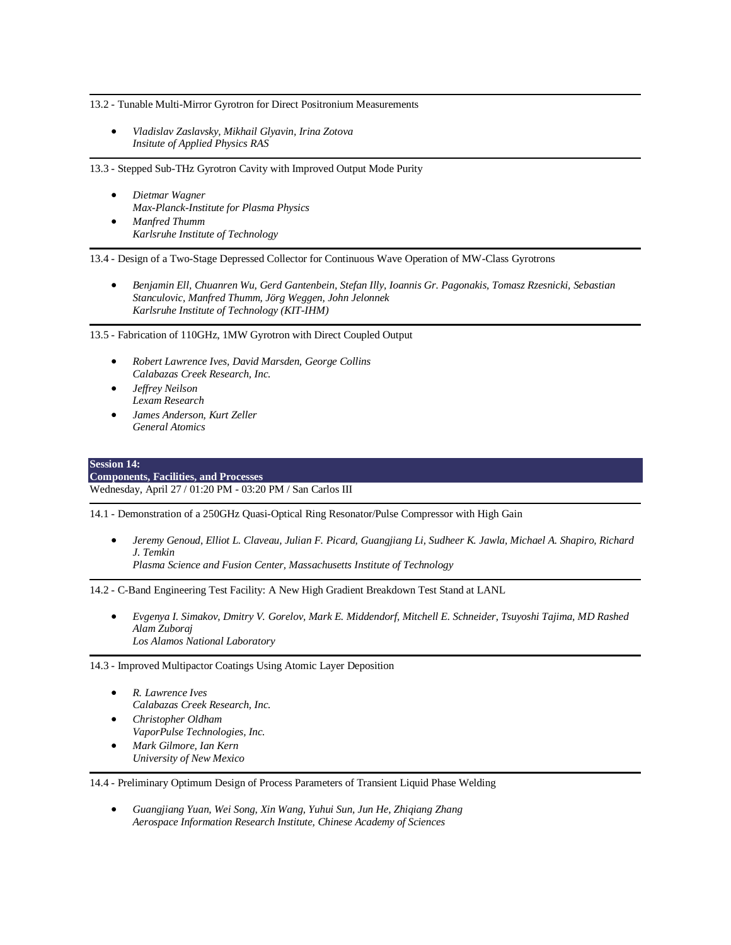13.2 - Tunable Multi-Mirror Gyrotron for Direct Positronium Measurements

• *Vladislav Zaslavsky, Mikhail Glyavin, Irina Zotova Insitute of Applied Physics RAS*

13.3 - Stepped Sub-THz Gyrotron Cavity with Improved Output Mode Purity

- *Dietmar Wagner Max-Planck-Institute for Plasma Physics*
- *Manfred Thumm Karlsruhe Institute of Technology*

13.4 - Design of a Two-Stage Depressed Collector for Continuous Wave Operation of MW-Class Gyrotrons

• *Benjamin Ell, Chuanren Wu, Gerd Gantenbein, Stefan Illy, Ioannis Gr. Pagonakis, Tomasz Rzesnicki, Sebastian Stanculovic, Manfred Thumm, Jörg Weggen, John Jelonnek Karlsruhe Institute of Technology (KIT-IHM)*

13.5 - Fabrication of 110GHz, 1MW Gyrotron with Direct Coupled Output

- *Robert Lawrence Ives, David Marsden, George Collins Calabazas Creek Research, Inc.*
- *Jeffrey Neilson Lexam Research*
- *James Anderson, Kurt Zeller General Atomics*

#### **Session 14:**

**Components, Facilities, and Processes** Wednesday, April 27 / 01:20 PM - 03:20 PM / San Carlos III

14.1 - Demonstration of a 250GHz Quasi-Optical Ring Resonator/Pulse Compressor with High Gain

• *Jeremy Genoud, Elliot L. Claveau, Julian F. Picard, Guangjiang Li, Sudheer K. Jawla, Michael A. Shapiro, Richard J. Temkin*

*Plasma Science and Fusion Center, Massachusetts Institute of Technology*

14.2 - C-Band Engineering Test Facility: A New High Gradient Breakdown Test Stand at LANL

• *Evgenya I. Simakov, Dmitry V. Gorelov, Mark E. Middendorf, Mitchell E. Schneider, Tsuyoshi Tajima, MD Rashed Alam Zuboraj Los Alamos National Laboratory*

14.3 - Improved Multipactor Coatings Using Atomic Layer Deposition

- *R. Lawrence Ives Calabazas Creek Research, Inc.* • *Christopher Oldham*
- *VaporPulse Technologies, Inc.*
- *Mark Gilmore, Ian Kern University of New Mexico*

14.4 - Preliminary Optimum Design of Process Parameters of Transient Liquid Phase Welding

• *Guangjiang Yuan, Wei Song, Xin Wang, Yuhui Sun, Jun He, Zhiqiang Zhang Aerospace Information Research Institute, Chinese Academy of Sciences*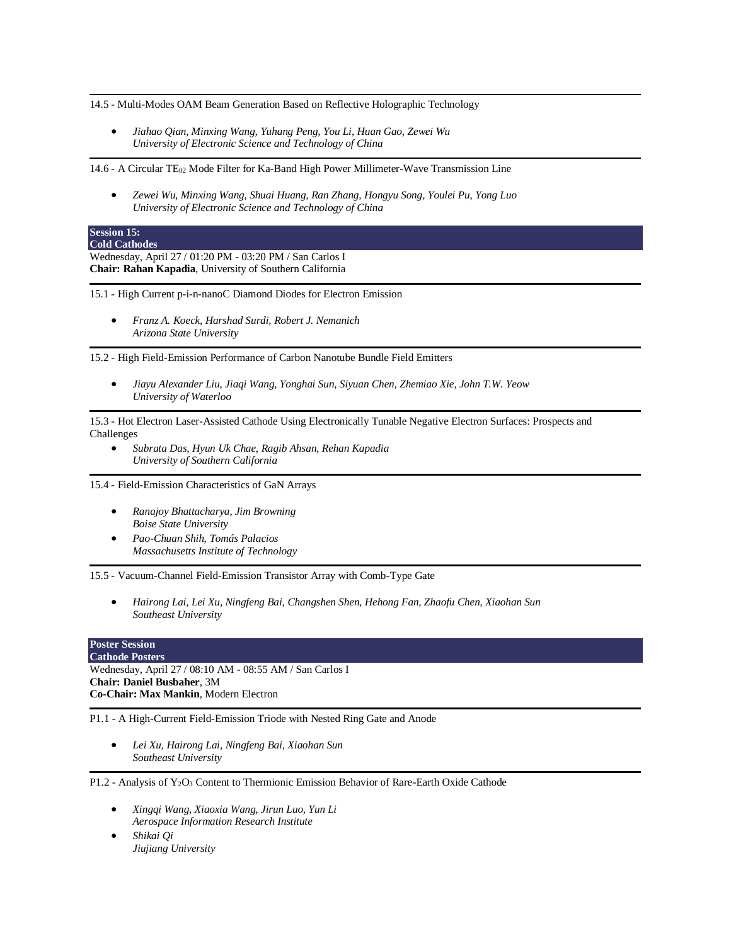14.5 - Multi-Modes OAM Beam Generation Based on Reflective Holographic Technology

• *Jiahao Qian, Minxing Wang, Yuhang Peng, You Li, Huan Gao, Zewei Wu University of Electronic Science and Technology of China*

14.6 - A Circular TE<sup>02</sup> Mode Filter for Ka-Band High Power Millimeter-Wave Transmission Line

• *Zewei Wu, Minxing Wang, Shuai Huang, Ran Zhang, Hongyu Song, Youlei Pu, Yong Luo University of Electronic Science and Technology of China*

#### **Session 15: Cold Cathodes**

Wednesday, April 27 / 01:20 PM - 03:20 PM / San Carlos I **Chair: Rahan Kapadia**, University of Southern California

15.1 - High Current p-i-n-nanoC Diamond Diodes for Electron Emission

• *Franz A. Koeck, Harshad Surdi, Robert J. Nemanich Arizona State University*

15.2 - High Field-Emission Performance of Carbon Nanotube Bundle Field Emitters

• *Jiayu Alexander Liu, Jiaqi Wang, Yonghai Sun, Siyuan Chen, Zhemiao Xie, John T.W. Yeow University of Waterloo*

15.3 - Hot Electron Laser-Assisted Cathode Using Electronically Tunable Negative Electron Surfaces: Prospects and Challenges

• *Subrata Das, Hyun Uk Chae, Ragib Ahsan, Rehan Kapadia University of Southern California*

15.4 - Field-Emission Characteristics of GaN Arrays

- *Ranajoy Bhattacharya, Jim Browning Boise State University*
- *Pao-Chuan Shih, Tomás Palacios Massachusetts Institute of Technology*

15.5 - Vacuum-Channel Field-Emission Transistor Array with Comb-Type Gate

• *Hairong Lai, Lei Xu, Ningfeng Bai, Changshen Shen, Hehong Fan, Zhaofu Chen, Xiaohan Sun Southeast University*

# **Poster Session**

**Cathode Posters** Wednesday, April 27 / 08:10 AM - 08:55 AM / San Carlos I **Chair: Daniel Busbaher**, 3M **Co-Chair: Max Mankin**, Modern Electron

P1.1 - A High-Current Field-Emission Triode with Nested Ring Gate and Anode

• *Lei Xu, Hairong Lai, Ningfeng Bai, Xiaohan Sun Southeast University*

P1.2 - Analysis of Y2O<sup>3</sup> Content to Thermionic Emission Behavior of Rare-Earth Oxide Cathode

- *Xingqi Wang, Xiaoxia Wang, Jirun Luo, Yun Li Aerospace Information Research Institute*
- *Shikai Qi Jiujiang University*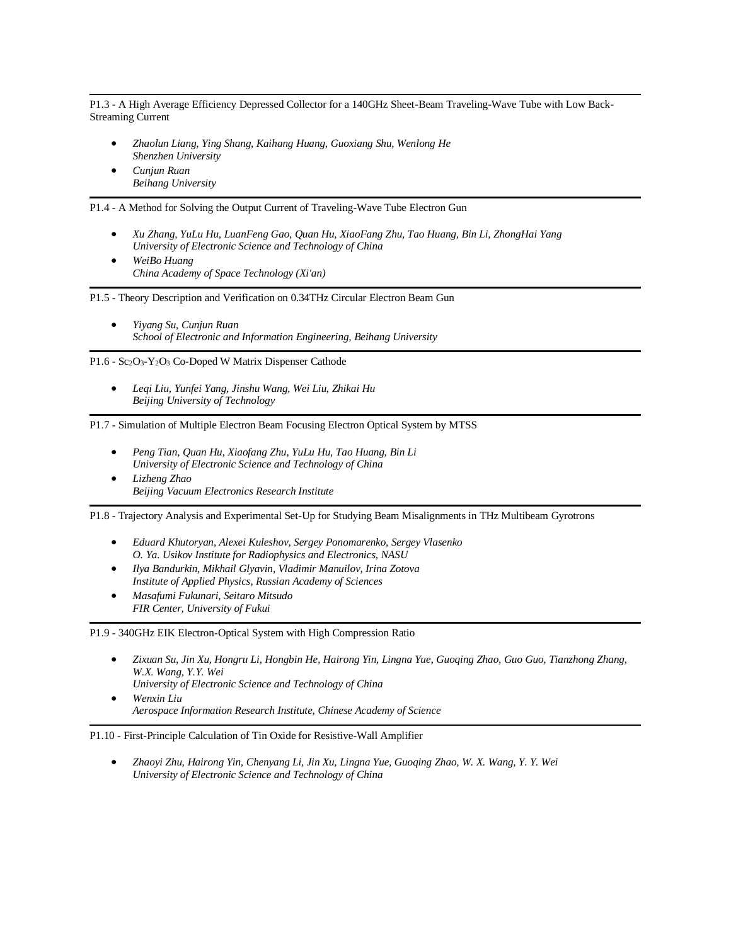P1.3 - A High Average Efficiency Depressed Collector for a 140GHz Sheet-Beam Traveling-Wave Tube with Low Back-Streaming Current

- *Zhaolun Liang, Ying Shang, Kaihang Huang, Guoxiang Shu, Wenlong He Shenzhen University*
- *Cunjun Ruan Beihang University*

P1.4 - A Method for Solving the Output Current of Traveling-Wave Tube Electron Gun

- *Xu Zhang, YuLu Hu, LuanFeng Gao, Quan Hu, XiaoFang Zhu, Tao Huang, Bin Li, ZhongHai Yang University of Electronic Science and Technology of China*
- *WeiBo Huang China Academy of Space Technology (Xi'an)*

P1.5 - Theory Description and Verification on 0.34THz Circular Electron Beam Gun

• *Yiyang Su, Cunjun Ruan School of Electronic and Information Engineering, Beihang University*

P1.6 - Sc<sub>2</sub>O<sub>3</sub>-Y<sub>2</sub>O<sub>3</sub> Co-Doped W Matrix Dispenser Cathode

• *Leqi Liu, Yunfei Yang, Jinshu Wang, Wei Liu, Zhikai Hu Beijing University of Technology*

P1.7 - Simulation of Multiple Electron Beam Focusing Electron Optical System by MTSS

- *Peng Tian, Quan Hu, Xiaofang Zhu, YuLu Hu, Tao Huang, Bin Li University of Electronic Science and Technology of China*
- *Lizheng Zhao Beijing Vacuum Electronics Research Institute*

P1.8 - Trajectory Analysis and Experimental Set-Up for Studying Beam Misalignments in THz Multibeam Gyrotrons

- *Eduard Khutoryan, Alexei Kuleshov, Sergey Ponomarenko, Sergey Vlasenko O. Ya. Usikov Institute for Radiophysics and Electronics, NASU*
- *Ilya Bandurkin, Mikhail Glyavin, Vladimir Manuilov, Irina Zotova Institute of Applied Physics, Russian Academy of Sciences*
- *Masafumi Fukunari, Seitaro Mitsudo FIR Center, University of Fukui*

P1.9 - 340GHz EIK Electron-Optical System with High Compression Ratio

- *Zixuan Su, Jin Xu, Hongru Li, Hongbin He, Hairong Yin, Lingna Yue, Guoqing Zhao, Guo Guo, Tianzhong Zhang, W.X. Wang, Y.Y. Wei University of Electronic Science and Technology of China*
- *Wenxin Liu Aerospace Information Research Institute, Chinese Academy of Science*

P1.10 - First-Principle Calculation of Tin Oxide for Resistive-Wall Amplifier

• *Zhaoyi Zhu, Hairong Yin, Chenyang Li, Jin Xu, Lingna Yue, Guoqing Zhao, W. X. Wang, Y. Y. Wei University of Electronic Science and Technology of China*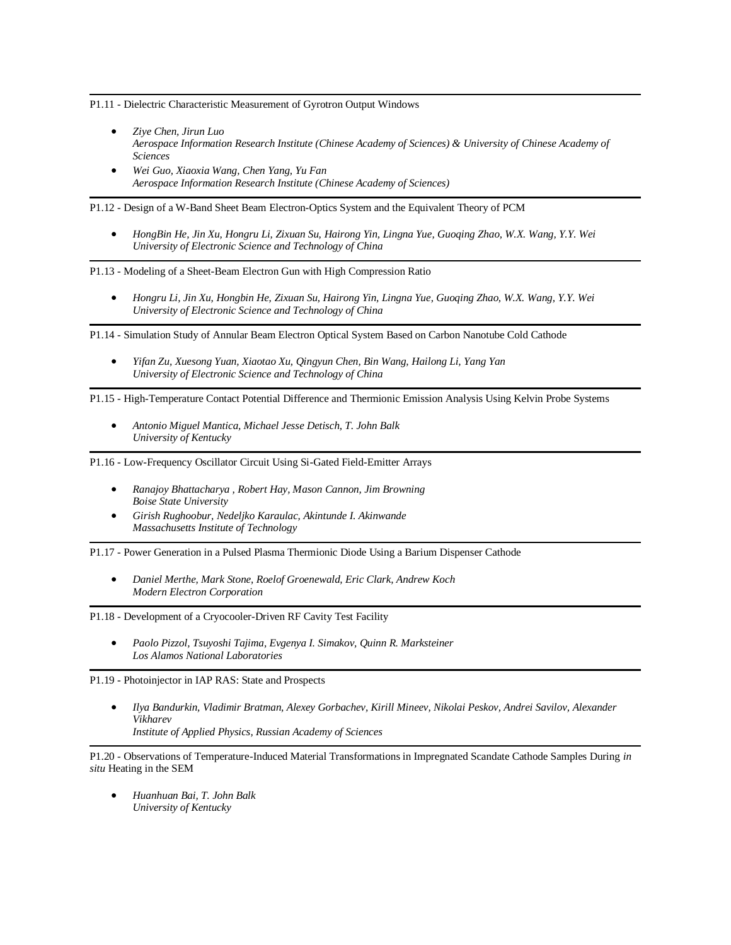P1.11 - Dielectric Characteristic Measurement of Gyrotron Output Windows

- *Ziye Chen, Jirun Luo Aerospace Information Research Institute (Chinese Academy of Sciences) & University of Chinese Academy of Sciences*
- *Wei Guo, Xiaoxia Wang, Chen Yang, Yu Fan Aerospace Information Research Institute (Chinese Academy of Sciences)*

P1.12 - Design of a W-Band Sheet Beam Electron-Optics System and the Equivalent Theory of PCM

• *HongBin He, Jin Xu, Hongru Li, Zixuan Su, Hairong Yin, Lingna Yue, Guoqing Zhao, W.X. Wang, Y.Y. Wei University of Electronic Science and Technology of China*

P1.13 - Modeling of a Sheet-Beam Electron Gun with High Compression Ratio

• *Hongru Li, Jin Xu, Hongbin He, Zixuan Su, Hairong Yin, Lingna Yue, Guoqing Zhao, W.X. Wang, Y.Y. Wei University of Electronic Science and Technology of China*

P1.14 - Simulation Study of Annular Beam Electron Optical System Based on Carbon Nanotube Cold Cathode

• *Yifan Zu, Xuesong Yuan, Xiaotao Xu, Qingyun Chen, Bin Wang, Hailong Li, Yang Yan University of Electronic Science and Technology of China*

P1.15 - High-Temperature Contact Potential Difference and Thermionic Emission Analysis Using Kelvin Probe Systems

• *Antonio Miguel Mantica, Michael Jesse Detisch, T. John Balk University of Kentucky*

P1.16 - Low-Frequency Oscillator Circuit Using Si-Gated Field-Emitter Arrays

- *Ranajoy Bhattacharya , Robert Hay, Mason Cannon, Jim Browning Boise State University*
- *Girish Rughoobur, Nedeljko Karaulac, Akintunde I. Akinwande Massachusetts Institute of Technology*

P1.17 - Power Generation in a Pulsed Plasma Thermionic Diode Using a Barium Dispenser Cathode

• *Daniel Merthe, Mark Stone, Roelof Groenewald, Eric Clark, Andrew Koch Modern Electron Corporation*

P1.18 - Development of a Cryocooler-Driven RF Cavity Test Facility

• *Paolo Pizzol, Tsuyoshi Tajima, Evgenya I. Simakov, Quinn R. Marksteiner Los Alamos National Laboratories*

P1.19 - Photoinjector in IAP RAS: State and Prospects

• *Ilya Bandurkin, Vladimir Bratman, Alexey Gorbachev, Kirill Mineev, Nikolai Peskov, Andrei Savilov, Alexander Vikharev Institute of Applied Physics, Russian Academy of Sciences*

P1.20 - Observations of Temperature-Induced Material Transformations in Impregnated Scandate Cathode Samples During *in situ* Heating in the SEM

• *Huanhuan Bai, T. John Balk University of Kentucky*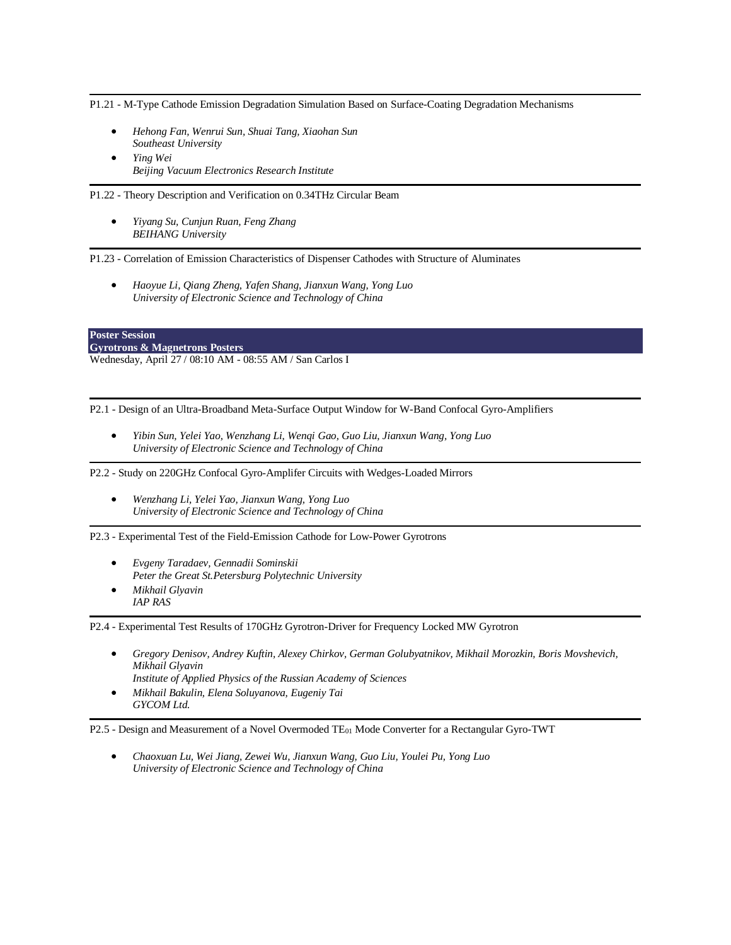P1.21 - M-Type Cathode Emission Degradation Simulation Based on Surface-Coating Degradation Mechanisms

- *Hehong Fan, Wenrui Sun, Shuai Tang, Xiaohan Sun Southeast University*
- *Ying Wei Beijing Vacuum Electronics Research Institute*

P1.22 - Theory Description and Verification on 0.34THz Circular Beam

• *Yiyang Su, Cunjun Ruan, Feng Zhang BEIHANG University*

P1.23 - Correlation of Emission Characteristics of Dispenser Cathodes with Structure of Aluminates

• *Haoyue Li, Qiang Zheng, Yafen Shang, Jianxun Wang, Yong Luo University of Electronic Science and Technology of China*

**Poster Session Gyrotrons & Magnetrons Posters** Wednesday, April 27 / 08:10 AM - 08:55 AM / San Carlos I

P2.1 - Design of an Ultra-Broadband Meta-Surface Output Window for W-Band Confocal Gyro-Amplifiers

• *Yibin Sun, Yelei Yao, Wenzhang Li, Wenqi Gao, Guo Liu, Jianxun Wang, Yong Luo University of Electronic Science and Technology of China*

P2.2 - Study on 220GHz Confocal Gyro-Amplifer Circuits with Wedges-Loaded Mirrors

• *Wenzhang Li, Yelei Yao, Jianxun Wang, Yong Luo University of Electronic Science and Technology of China*

P2.3 - Experimental Test of the Field-Emission Cathode for Low-Power Gyrotrons

- *Evgeny Taradaev, Gennadii Sominskii Peter the Great St.Petersburg Polytechnic University*
- *Mikhail Glyavin IAP RAS*

P2.4 - Experimental Test Results of 170GHz Gyrotron-Driver for Frequency Locked MW Gyrotron

- *Gregory Denisov, Andrey Kuftin, Alexey Chirkov, German Golubyatnikov, Mikhail Morozkin, Boris Movshevich, Mikhail Glyavin Institute of Applied Physics of the Russian Academy of Sciences*
- *Mikhail Bakulin, Elena Soluyanova, Eugeniy Tai*
- *GYCOM Ltd.*

P2.5 - Design and Measurement of a Novel Overmoded TE<sup>01</sup> Mode Converter for a Rectangular Gyro-TWT

• *Chaoxuan Lu, Wei Jiang, Zewei Wu, Jianxun Wang, Guo Liu, Youlei Pu, Yong Luo University of Electronic Science and Technology of China*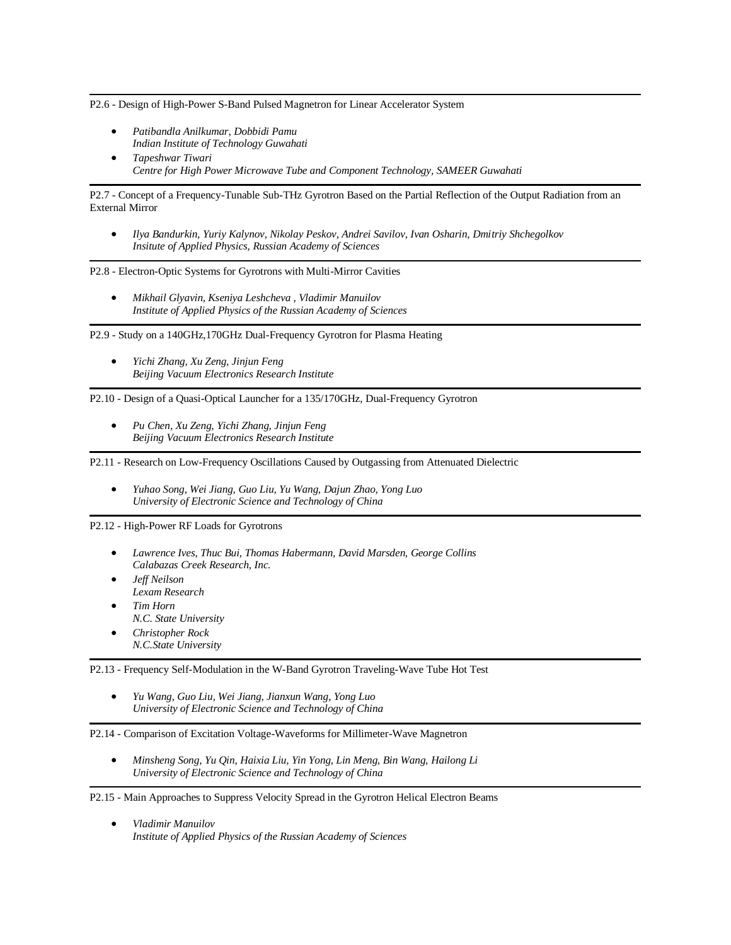P2.6 - Design of High-Power S-Band Pulsed Magnetron for Linear Accelerator System

- *Patibandla Anilkumar, Dobbidi Pamu Indian Institute of Technology Guwahati*
- *Tapeshwar Tiwari Centre for High Power Microwave Tube and Component Technology, SAMEER Guwahati*

P2.7 - Concept of a Frequency-Tunable Sub-THz Gyrotron Based on the Partial Reflection of the Output Radiation from an External Mirror

• *Ilya Bandurkin, Yuriy Kalynov, Nikolay Peskov, Andrei Savilov, Ivan Osharin, Dmitriy Shchegolkov Insitute of Applied Physics, Russian Academy of Sciences*

P2.8 - Electron-Optic Systems for Gyrotrons with Multi-Mirror Cavities

• *Mikhail Glyavin, Kseniya Leshcheva , Vladimir Manuilov Institute of Applied Physics of the Russian Academy of Sciences*

P2.9 - Study on a 140GHz,170GHz Dual-Frequency Gyrotron for Plasma Heating

• *Yichi Zhang, Xu Zeng, Jinjun Feng Beijing Vacuum Electronics Research Institute*

P2.10 - Design of a Quasi-Optical Launcher for a 135/170GHz, Dual-Frequency Gyrotron

• *Pu Chen, Xu Zeng, Yichi Zhang, Jinjun Feng Beijing Vacuum Electronics Research Institute*

P2.11 - Research on Low-Frequency Oscillations Caused by Outgassing from Attenuated Dielectric

• *Yuhao Song, Wei Jiang, Guo Liu, Yu Wang, Dajun Zhao, Yong Luo University of Electronic Science and Technology of China*

P2.12 - High-Power RF Loads for Gyrotrons

- *Lawrence Ives, Thuc Bui, Thomas Habermann, David Marsden, George Collins Calabazas Creek Research, Inc.*
- *Jeff Neilson Lexam Research* • *Tim Horn*
- *N.C. State University*
- *Christopher Rock N.C.State University*

P2.13 - Frequency Self-Modulation in the W-Band Gyrotron Traveling-Wave Tube Hot Test

• *Yu Wang, Guo Liu, Wei Jiang, Jianxun Wang, Yong Luo University of Electronic Science and Technology of China*

P2.14 - Comparison of Excitation Voltage-Waveforms for Millimeter-Wave Magnetron

• *Minsheng Song, Yu Qin, Haixia Liu, Yin Yong, Lin Meng, Bin Wang, Hailong Li University of Electronic Science and Technology of China*

#### P2.15 - Main Approaches to Suppress Velocity Spread in the Gyrotron Helical Electron Beams

• *Vladimir Manuilov Institute of Applied Physics of the Russian Academy of Sciences*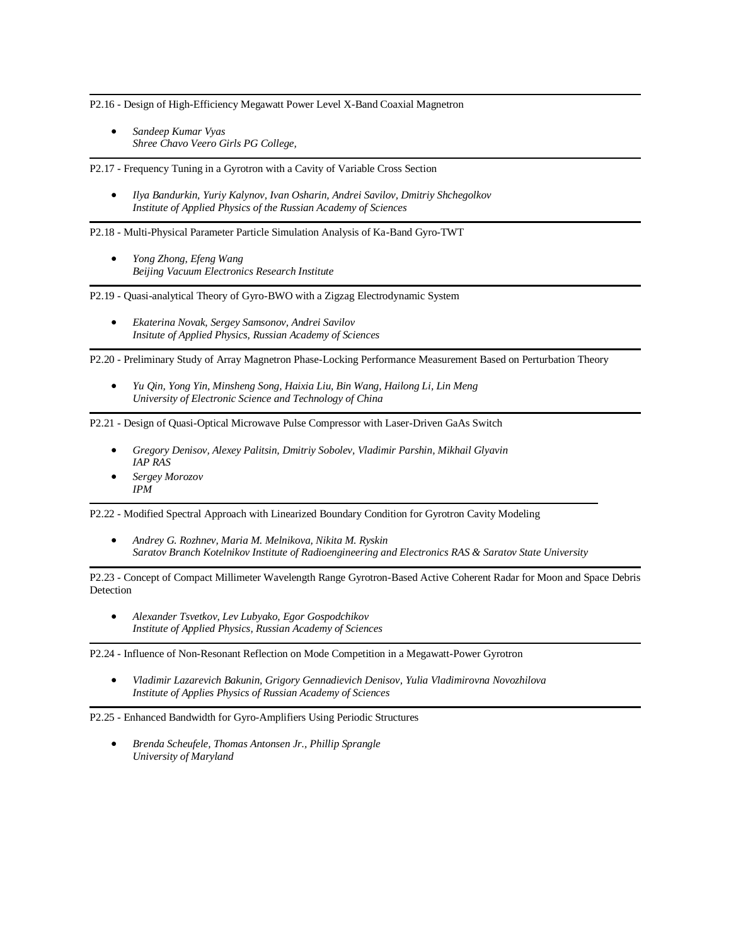P2.16 - Design of High-Efficiency Megawatt Power Level X-Band Coaxial Magnetron

• *Sandeep Kumar Vyas Shree Chavo Veero Girls PG College,*

P2.17 - Frequency Tuning in a Gyrotron with a Cavity of Variable Cross Section

• *Ilya Bandurkin, Yuriy Kalynov, Ivan Osharin, Andrei Savilov, Dmitriy Shchegolkov Institute of Applied Physics of the Russian Academy of Sciences*

P2.18 - Multi-Physical Parameter Particle Simulation Analysis of Ka-Band Gyro-TWT

• *Yong Zhong, Efeng Wang Beijing Vacuum Electronics Research Institute*

P2.19 - Quasi-analytical Theory of Gyro-BWO with a Zigzag Electrodynamic System

• *Ekaterina Novak, Sergey Samsonov, Andrei Savilov Insitute of Applied Physics, Russian Academy of Sciences*

P2.20 - Preliminary Study of Array Magnetron Phase-Locking Performance Measurement Based on Perturbation Theory

• *Yu Qin, Yong Yin, Minsheng Song, Haixia Liu, Bin Wang, Hailong Li, Lin Meng University of Electronic Science and Technology of China*

P2.21 - Design of Quasi-Optical Microwave Pulse Compressor with Laser-Driven GaAs Switch

- *Gregory Denisov, Alexey Palitsin, Dmitriy Sobolev, Vladimir Parshin, Mikhail Glyavin IAP RAS*
- *Sergey Morozov IPM*

P2.22 - Modified Spectral Approach with Linearized Boundary Condition for Gyrotron Cavity Modeling

• *Andrey G. Rozhnev, Maria M. Melnikova, Nikita M. Ryskin Saratov Branch Kotelnikov Institute of Radioengineering and Electronics RAS & Saratov State University*

P2.23 - Concept of Compact Millimeter Wavelength Range Gyrotron-Based Active Coherent Radar for Moon and Space Debris Detection

• *Alexander Tsvetkov, Lev Lubyako, Egor Gospodchikov Institute of Applied Physics, Russian Academy of Sciences*

P2.24 - Influence of Non-Resonant Reflection on Mode Competition in a Megawatt-Power Gyrotron

• *Vladimir Lazarevich Bakunin, Grigory Gennadievich Denisov, Yulia Vladimirovna Novozhilova Institute of Applies Physics of Russian Academy of Sciences*

P2.25 - Enhanced Bandwidth for Gyro-Amplifiers Using Periodic Structures

• *Brenda Scheufele, Thomas Antonsen Jr., Phillip Sprangle University of Maryland*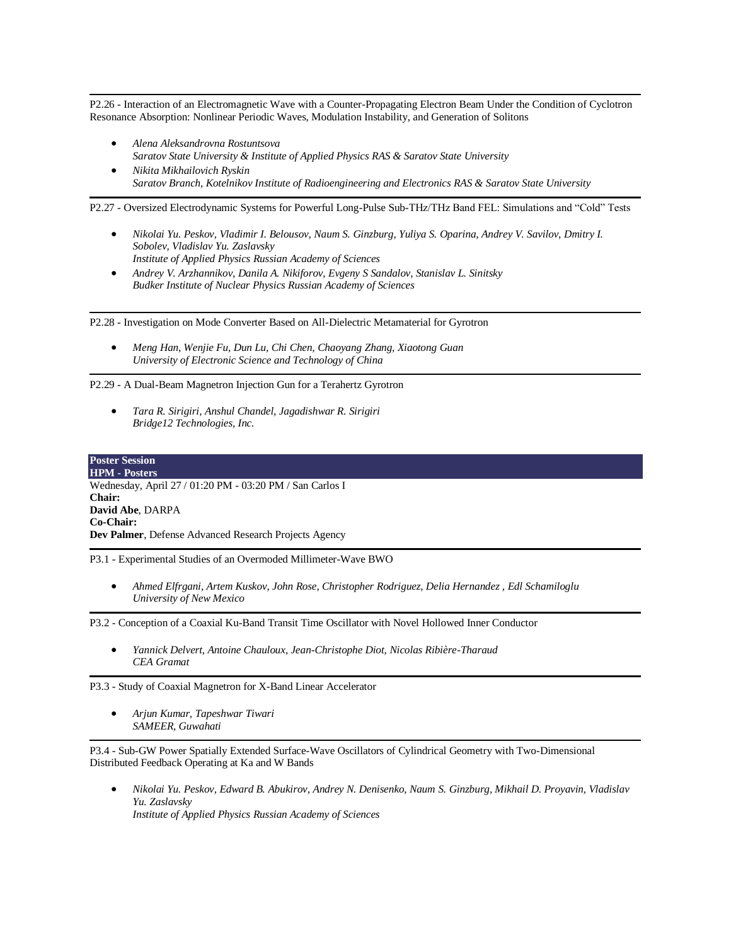P2.26 - Interaction of an Electromagnetic Wave with a Counter-Propagating Electron Beam Under the Condition of Cyclotron Resonance Absorption: Nonlinear Periodic Waves, Modulation Instability, and Generation of Solitons

- *Alena Aleksandrovna Rostuntsova Saratov State University & Institute of Applied Physics RAS & Saratov State University*
- *Nikita Mikhailovich Ryskin Saratov Branch, Kotelnikov Institute of Radioengineering and Electronics RAS & Saratov State University*

P2.27 - Oversized Electrodynamic Systems for Powerful Long-Pulse Sub-THz/THz Band FEL: Simulations and "Cold" Tests

- *Nikolai Yu. Peskov, Vladimir I. Belousov, Naum S. Ginzburg, Yuliya S. Oparina, Andrey V. Savilov, Dmitry I. Sobolev, Vladislav Yu. Zaslavsky Institute of Applied Physics Russian Academy of Sciences*
- *Andrey V. Arzhannikov, Danila A. Nikiforov, Evgeny S Sandalov, Stanislav L. Sinitsky Budker Institute of Nuclear Physics Russian Academy of Sciences*

P2.28 - Investigation on Mode Converter Based on All-Dielectric Metamaterial for Gyrotron

• *Meng Han, Wenjie Fu, Dun Lu, Chi Chen, Chaoyang Zhang, Xiaotong Guan University of Electronic Science and Technology of China*

P2.29 - A Dual-Beam Magnetron Injection Gun for a Terahertz Gyrotron

• *Tara R. Sirigiri, Anshul Chandel, Jagadishwar R. Sirigiri Bridge12 Technologies, Inc.*

**Poster Session HPM - Posters** Wednesday, April 27 / 01:20 PM - 03:20 PM / San Carlos I **Chair: David Abe**, DARPA **Co-Chair: Dev Palmer**, Defense Advanced Research Projects Agency

P3.1 - Experimental Studies of an Overmoded Millimeter-Wave BWO

• *Ahmed Elfrgani, Artem Kuskov, John Rose, Christopher Rodriguez, Delia Hernandez , Edl Schamiloglu University of New Mexico*

P3.2 - Conception of a Coaxial Ku-Band Transit Time Oscillator with Novel Hollowed Inner Conductor

• *Yannick Delvert, Antoine Chauloux, Jean-Christophe Diot, Nicolas Ribière-Tharaud CEA Gramat*

P3.3 - Study of Coaxial Magnetron for X-Band Linear Accelerator

• *Arjun Kumar, Tapeshwar Tiwari SAMEER, Guwahati*

P3.4 - Sub-GW Power Spatially Extended Surface-Wave Oscillators of Cylindrical Geometry with Two-Dimensional Distributed Feedback Operating at Ka and W Bands

• *Nikolai Yu. Peskov, Edward B. Abukirov, Andrey N. Denisenko, Naum S. Ginzburg, Mikhail D. Proyavin, Vladislav Yu. Zaslavsky Institute of Applied Physics Russian Academy of Sciences*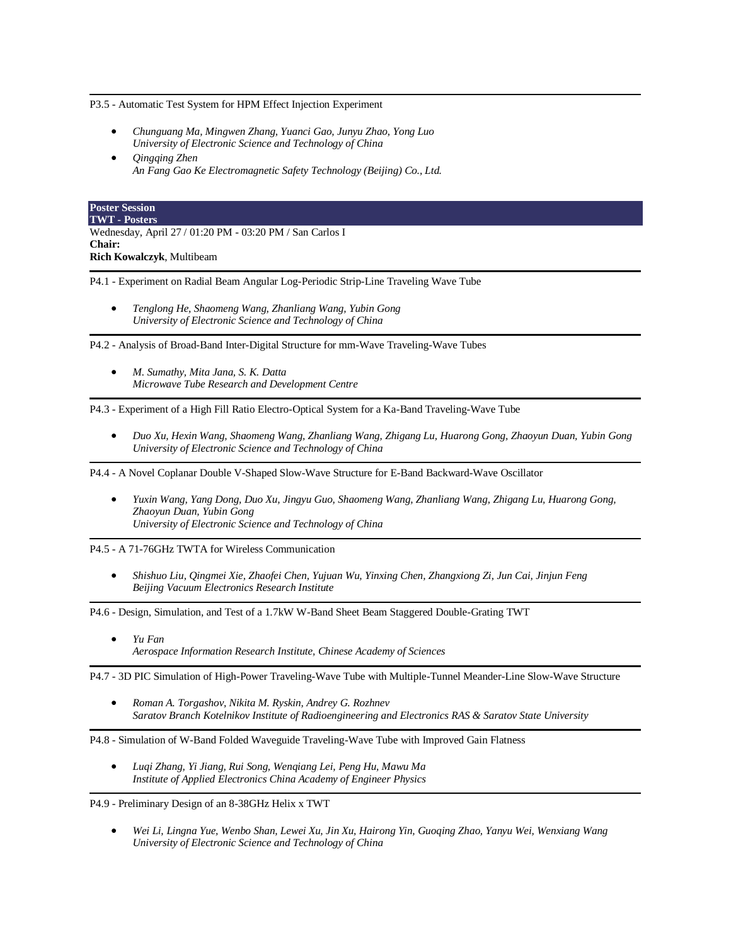P3.5 - Automatic Test System for HPM Effect Injection Experiment

- *Chunguang Ma, Mingwen Zhang, Yuanci Gao, Junyu Zhao, Yong Luo University of Electronic Science and Technology of China*
- *Qingqing Zhen An Fang Gao Ke Electromagnetic Safety Technology (Beijing) Co., Ltd.*

# **Poster Session**

**TWT - Posters** Wednesday, April 27 / 01:20 PM - 03:20 PM / San Carlos I **Chair: Rich Kowalczyk**, Multibeam

P4.1 - Experiment on Radial Beam Angular Log-Periodic Strip-Line Traveling Wave Tube

• *Tenglong He, Shaomeng Wang, Zhanliang Wang, Yubin Gong University of Electronic Science and Technology of China*

P4.2 - Analysis of Broad-Band Inter-Digital Structure for mm-Wave Traveling-Wave Tubes

• *M. Sumathy, Mita Jana, S. K. Datta Microwave Tube Research and Development Centre*

P4.3 - Experiment of a High Fill Ratio Electro-Optical System for a Ka-Band Traveling-Wave Tube

• *Duo Xu, Hexin Wang, Shaomeng Wang, Zhanliang Wang, Zhigang Lu, Huarong Gong, Zhaoyun Duan, Yubin Gong University of Electronic Science and Technology of China*

P4.4 - A Novel Coplanar Double V-Shaped Slow-Wave Structure for E-Band Backward-Wave Oscillator

• *Yuxin Wang, Yang Dong, Duo Xu, Jingyu Guo, Shaomeng Wang, Zhanliang Wang, Zhigang Lu, Huarong Gong, Zhaoyun Duan, Yubin Gong University of Electronic Science and Technology of China*

P4.5 - A 71-76GHz TWTA for Wireless Communication

• *Shishuo Liu, Qingmei Xie, Zhaofei Chen, Yujuan Wu, Yinxing Chen, Zhangxiong Zi, Jun Cai, Jinjun Feng Beijing Vacuum Electronics Research Institute*

P4.6 - Design, Simulation, and Test of a 1.7kW W-Band Sheet Beam Staggered Double-Grating TWT

• *Yu Fan Aerospace Information Research Institute, Chinese Academy of Sciences*

P4.7 - 3D PIC Simulation of High-Power Traveling-Wave Tube with Multiple-Tunnel Meander-Line Slow-Wave Structure

• *Roman A. Torgashov, Nikita M. Ryskin, Andrey G. Rozhnev Saratov Branch Kotelnikov Institute of Radioengineering and Electronics RAS & Saratov State University*

P4.8 - Simulation of W-Band Folded Waveguide Traveling-Wave Tube with Improved Gain Flatness

• *Luqi Zhang, Yi Jiang, Rui Song, Wenqiang Lei, Peng Hu, Mawu Ma Institute of Applied Electronics China Academy of Engineer Physics*

P4.9 - Preliminary Design of an 8-38GHz Helix x TWT

• *Wei Li, Lingna Yue, Wenbo Shan, Lewei Xu, Jin Xu, Hairong Yin, Guoqing Zhao, Yanyu Wei, Wenxiang Wang University of Electronic Science and Technology of China*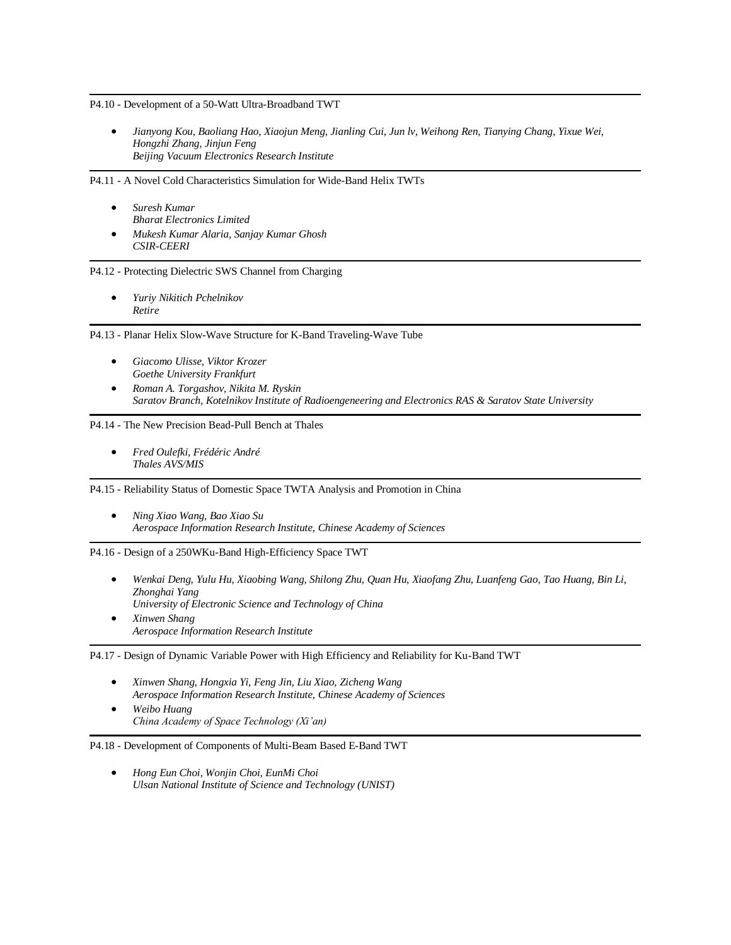P4.10 - Development of a 50-Watt Ultra-Broadband TWT

• *Jianyong Kou, Baoliang Hao, Xiaojun Meng, Jianling Cui, Jun lv, Weihong Ren, Tianying Chang, Yixue Wei, Hongzhi Zhang, Jinjun Feng Beijing Vacuum Electronics Research Institute*

P4.11 - A Novel Cold Characteristics Simulation for Wide-Band Helix TWTs

- *Suresh Kumar Bharat Electronics Limited*
- *Mukesh Kumar Alaria, Sanjay Kumar Ghosh CSIR-CEERI*

P4.12 - Protecting Dielectric SWS Channel from Charging

• *Yuriy Nikitich Pchelnikov Retire*

P4.13 - Planar Helix Slow-Wave Structure for K-Band Traveling-Wave Tube

- *Giacomo Ulisse, Viktor Krozer Goethe University Frankfurt*
- *Roman A. Torgashov, Nikita M. Ryskin Saratov Branch, Kotelnikov Institute of Radioengeneering and Electronics RAS & Saratov State University*

P4.14 - The New Precision Bead-Pull Bench at Thales

• *Fred Oulefki, Frédéric André Thales AVS/MIS*

P4.15 - Reliability Status of Domestic Space TWTA Analysis and Promotion in China

• *Ning Xiao Wang, Bao Xiao Su Aerospace Information Research Institute, Chinese Academy of Sciences*

P4.16 - Design of a 250WKu-Band High-Efficiency Space TWT

- *Wenkai Deng, Yulu Hu, Xiaobing Wang, Shilong Zhu, Quan Hu, Xiaofang Zhu, Luanfeng Gao, Tao Huang, Bin Li, Zhonghai Yang University of Electronic Science and Technology of China*
- *Xinwen Shang Aerospace Information Research Institute*

P4.17 - Design of Dynamic Variable Power with High Efficiency and Reliability for Ku-Band TWT

- *Xinwen Shang, Hongxia Yi, Feng Jin, Liu Xiao, Zicheng Wang Aerospace Information Research Institute, Chinese Academy of Sciences*
- *Weibo Huang China Academy of Space Technology (Xi'an)*

#### P4.18 - Development of Components of Multi-Beam Based E-Band TWT

• *Hong Eun Choi, Wonjin Choi, EunMi Choi Ulsan National Institute of Science and Technology (UNIST)*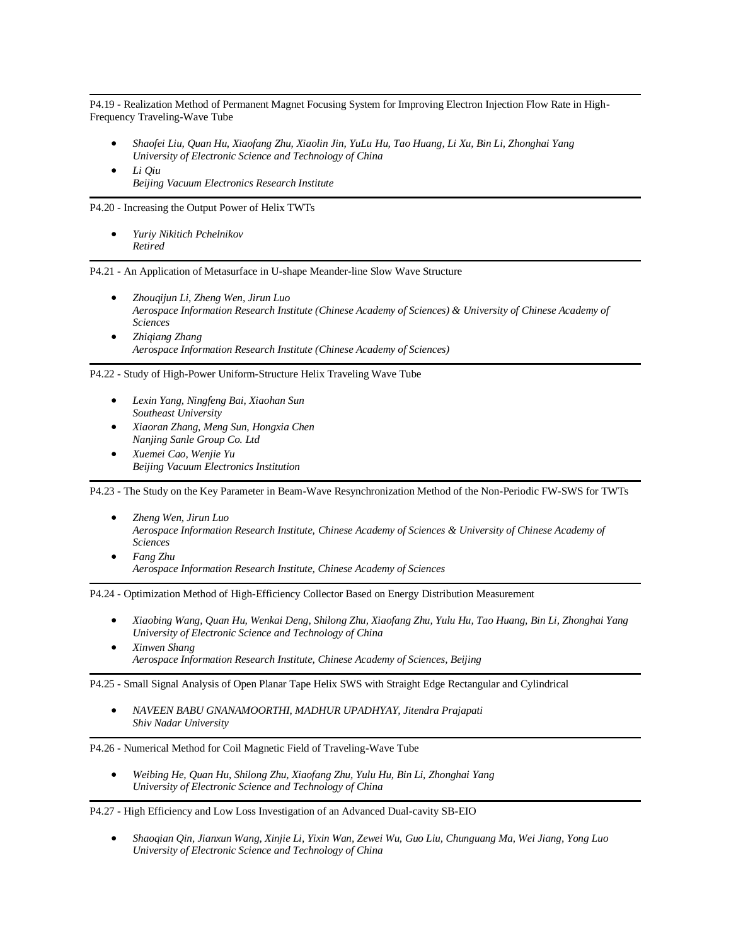P4.19 - Realization Method of Permanent Magnet Focusing System for Improving Electron Injection Flow Rate in High-Frequency Traveling-Wave Tube

- *Shaofei Liu, Quan Hu, Xiaofang Zhu, Xiaolin Jin, YuLu Hu, Tao Huang, Li Xu, Bin Li, Zhonghai Yang University of Electronic Science and Technology of China*
- *Li Qiu Beijing Vacuum Electronics Research Institute*

P4.20 - Increasing the Output Power of Helix TWTs

• *Yuriy Nikitich Pchelnikov Retired*

P4.21 - An Application of Metasurface in U-shape Meander-line Slow Wave Structure

- *Zhouqijun Li, Zheng Wen, Jirun Luo Aerospace Information Research Institute (Chinese Academy of Sciences) & University of Chinese Academy of Sciences*
- *Zhiqiang Zhang Aerospace Information Research Institute (Chinese Academy of Sciences)*

P4.22 - Study of High-Power Uniform-Structure Helix Traveling Wave Tube

- *Lexin Yang, Ningfeng Bai, Xiaohan Sun Southeast University*
- *Xiaoran Zhang, Meng Sun, Hongxia Chen Nanjing Sanle Group Co. Ltd*
- *Xuemei Cao, Wenjie Yu Beijing Vacuum Electronics Institution*

P4.23 - The Study on the Key Parameter in Beam-Wave Resynchronization Method of the Non-Periodic FW-SWS for TWTs

- *Zheng Wen, Jirun Luo Aerospace Information Research Institute, Chinese Academy of Sciences & University of Chinese Academy of Sciences*
- *Fang Zhu Aerospace Information Research Institute, Chinese Academy of Sciences*

P4.24 - Optimization Method of High-Efficiency Collector Based on Energy Distribution Measurement

- *Xiaobing Wang, Quan Hu, Wenkai Deng, Shilong Zhu, Xiaofang Zhu, Yulu Hu, Tao Huang, Bin Li, Zhonghai Yang University of Electronic Science and Technology of China*
- *Xinwen Shang Aerospace Information Research Institute, Chinese Academy of Sciences, Beijing*

P4.25 - Small Signal Analysis of Open Planar Tape Helix SWS with Straight Edge Rectangular and Cylindrical

• *NAVEEN BABU GNANAMOORTHI, MADHUR UPADHYAY, Jitendra Prajapati Shiv Nadar University*

P4.26 - Numerical Method for Coil Magnetic Field of Traveling-Wave Tube

• *Weibing He, Quan Hu, Shilong Zhu, Xiaofang Zhu, Yulu Hu, Bin Li, Zhonghai Yang University of Electronic Science and Technology of China*

P4.27 - High Efficiency and Low Loss Investigation of an Advanced Dual-cavity SB-EIO

• *Shaoqian Qin, Jianxun Wang, Xinjie Li, Yixin Wan, Zewei Wu, Guo Liu, Chunguang Ma, Wei Jiang, Yong Luo University of Electronic Science and Technology of China*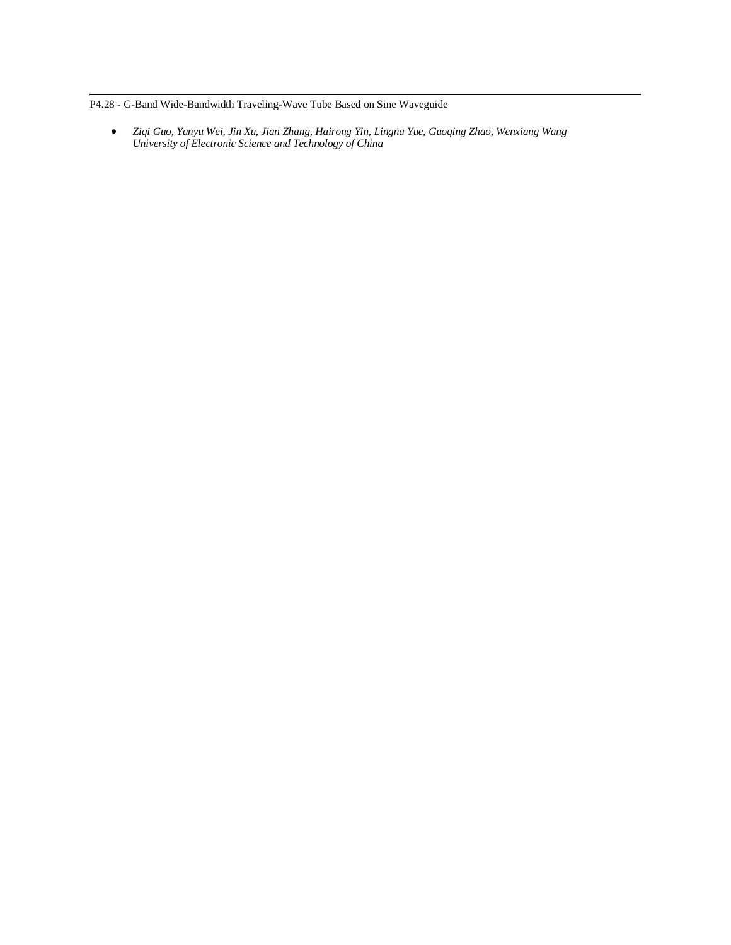P4.28 - G-Band Wide-Bandwidth Traveling-Wave Tube Based on Sine Waveguide

• *Ziqi Guo, Yanyu Wei, Jin Xu, Jian Zhang, Hairong Yin, Lingna Yue, Guoqing Zhao, Wenxiang Wang University of Electronic Science and Technology of China*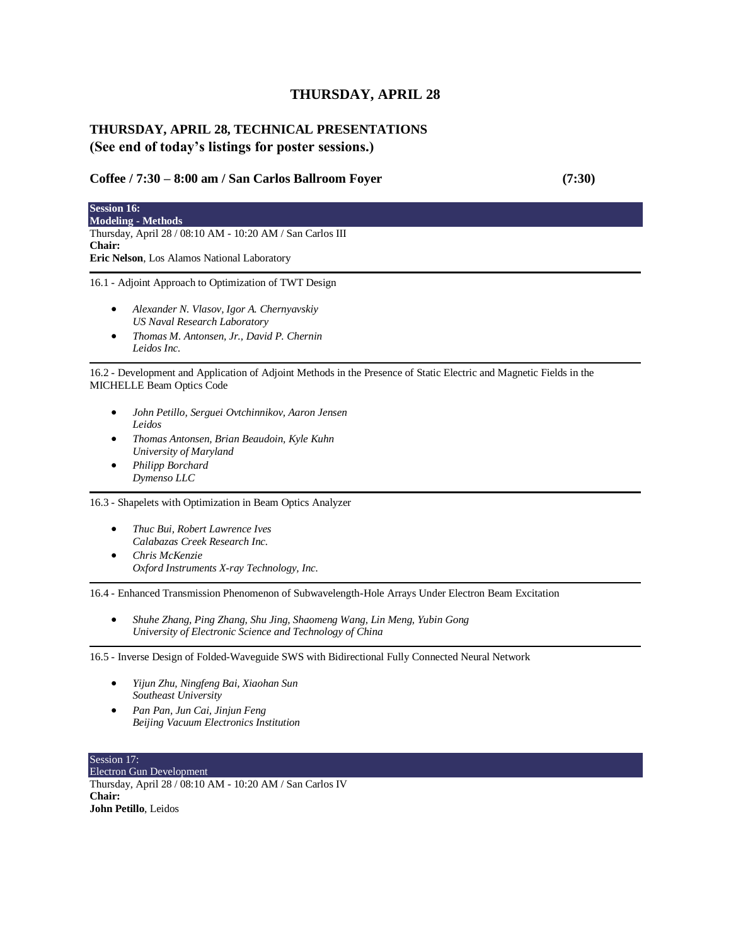# **THURSDAY, APRIL 28**

# **THURSDAY, APRIL 28, TECHNICAL PRESENTATIONS (See end of today's listings for poster sessions.)**

## **Coffee / 7:30 – 8:00 am / San Carlos Ballroom Foyer (7:30)**

**Session 16: Modeling - Methods** Thursday, April 28 / 08:10 AM - 10:20 AM / San Carlos III **Chair: Eric Nelson**, Los Alamos National Laboratory 16.1 - Adjoint Approach to Optimization of TWT Design

- *Alexander N. Vlasov, Igor A. Chernyavskiy US Naval Research Laboratory*
- *Thomas M. Antonsen, Jr., David P. Chernin Leidos Inc.*

16.2 - Development and Application of Adjoint Methods in the Presence of Static Electric and Magnetic Fields in the MICHELLE Beam Optics Code

- *John Petillo, Serguei Ovtchinnikov, Aaron Jensen Leidos*
- *Thomas Antonsen, Brian Beaudoin, Kyle Kuhn University of Maryland*
- *Philipp Borchard Dymenso LLC*

16.3 - Shapelets with Optimization in Beam Optics Analyzer

- *Thuc Bui, Robert Lawrence Ives Calabazas Creek Research Inc.*
- *Chris McKenzie Oxford Instruments X-ray Technology, Inc.*

16.4 - Enhanced Transmission Phenomenon of Subwavelength-Hole Arrays Under Electron Beam Excitation

• *Shuhe Zhang, Ping Zhang, Shu Jing, Shaomeng Wang, Lin Meng, Yubin Gong University of Electronic Science and Technology of China*

16.5 - Inverse Design of Folded-Waveguide SWS with Bidirectional Fully Connected Neural Network

- *Yijun Zhu, Ningfeng Bai, Xiaohan Sun Southeast University*
- *Pan Pan, Jun Cai, Jinjun Feng Beijing Vacuum Electronics Institution*

Session 17: Electron Gun Development Thursday, April 28 / 08:10 AM - 10:20 AM / San Carlos IV **Chair: John Petillo**, Leidos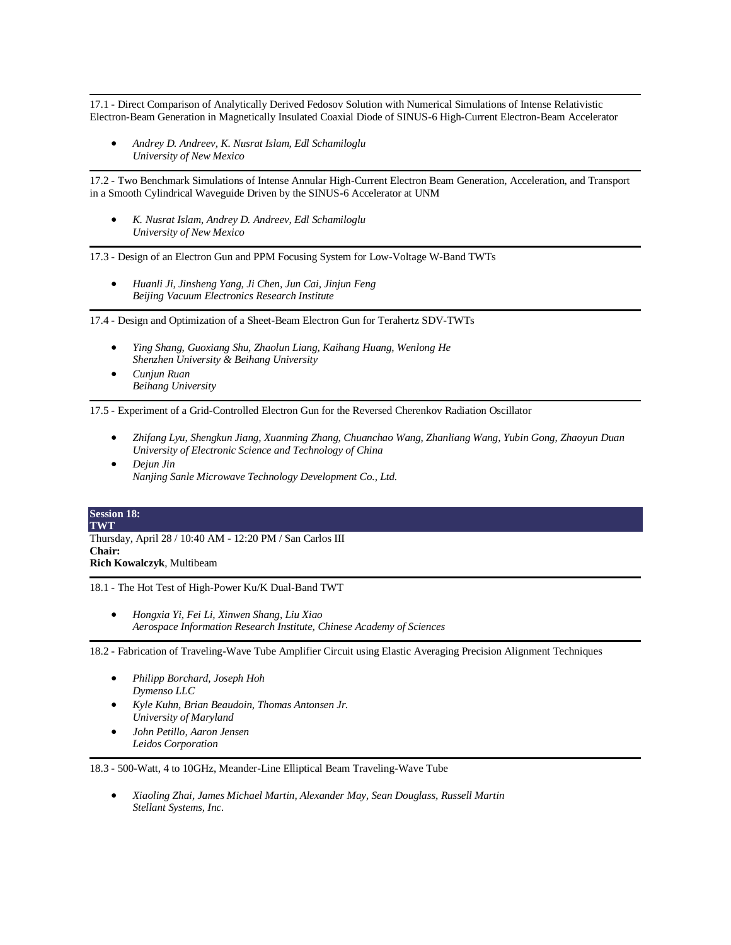17.1 - Direct Comparison of Analytically Derived Fedosov Solution with Numerical Simulations of Intense Relativistic Electron-Beam Generation in Magnetically Insulated Coaxial Diode of SINUS-6 High-Current Electron-Beam Accelerator

• *Andrey D. Andreev, K. Nusrat Islam, Edl Schamiloglu University of New Mexico*

17.2 - Two Benchmark Simulations of Intense Annular High-Current Electron Beam Generation, Acceleration, and Transport in a Smooth Cylindrical Waveguide Driven by the SINUS-6 Accelerator at UNM

• *K. Nusrat Islam, Andrey D. Andreev, Edl Schamiloglu University of New Mexico*

17.3 - Design of an Electron Gun and PPM Focusing System for Low-Voltage W-Band TWTs

• *Huanli Ji, Jinsheng Yang, Ji Chen, Jun Cai, Jinjun Feng Beijing Vacuum Electronics Research Institute*

17.4 - Design and Optimization of a Sheet-Beam Electron Gun for Terahertz SDV-TWTs

- *Ying Shang, Guoxiang Shu, Zhaolun Liang, Kaihang Huang, Wenlong He Shenzhen University & Beihang University*
- *Cunjun Ruan Beihang University*

17.5 - Experiment of a Grid-Controlled Electron Gun for the Reversed Cherenkov Radiation Oscillator

- *Zhifang Lyu, Shengkun Jiang, Xuanming Zhang, Chuanchao Wang, Zhanliang Wang, Yubin Gong, Zhaoyun Duan University of Electronic Science and Technology of China*
- *Dejun Jin Nanjing Sanle Microwave Technology Development Co., Ltd.*

| <b>Session 18:</b>                                        |  |
|-----------------------------------------------------------|--|
| <b>TWT</b>                                                |  |
| Thursday, April 28 / 10:40 AM - 12:20 PM / San Carlos III |  |
| <b>Chair:</b>                                             |  |
| <b>Rich Kowalczyk, Multibeam</b>                          |  |

18.1 - The Hot Test of High-Power Ku/K Dual-Band TWT

• *Hongxia Yi, Fei Li, Xinwen Shang, Liu Xiao Aerospace Information Research Institute, Chinese Academy of Sciences*

18.2 - Fabrication of Traveling-Wave Tube Amplifier Circuit using Elastic Averaging Precision Alignment Techniques

- *Philipp Borchard, Joseph Hoh Dymenso LLC*
- *Kyle Kuhn, Brian Beaudoin, Thomas Antonsen Jr. University of Maryland*
- *John Petillo, Aaron Jensen Leidos Corporation*

18.3 - 500-Watt, 4 to 10GHz, Meander-Line Elliptical Beam Traveling-Wave Tube

• *Xiaoling Zhai, James Michael Martin, Alexander May, Sean Douglass, Russell Martin Stellant Systems, Inc.*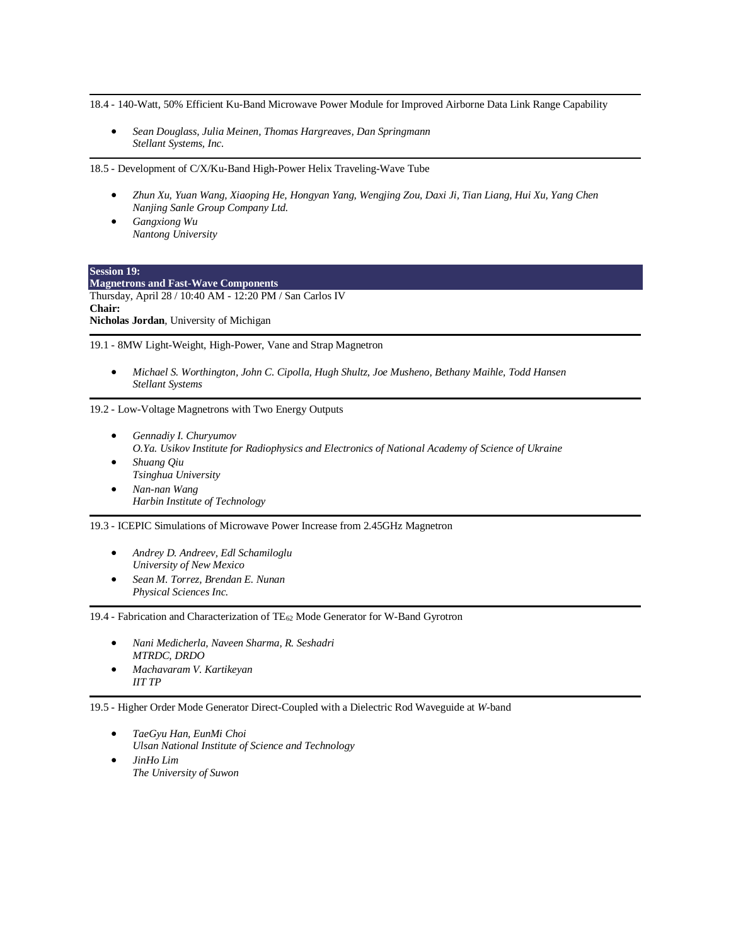18.4 - 140-Watt, 50% Efficient Ku-Band Microwave Power Module for Improved Airborne Data Link Range Capability

• *Sean Douglass, Julia Meinen, Thomas Hargreaves, Dan Springmann Stellant Systems, Inc.*

18.5 - Development of C/X/Ku-Band High-Power Helix Traveling-Wave Tube

- *Zhun Xu, Yuan Wang, Xiaoping He, Hongyan Yang, Wengjing Zou, Daxi Ji, Tian Liang, Hui Xu, Yang Chen Nanjing Sanle Group Company Ltd.*
- *Gangxiong Wu Nantong University*

**Session 19: Magnetrons and Fast-Wave Components** Thursday, April 28 / 10:40 AM - 12:20 PM / San Carlos IV **Chair: Nicholas Jordan**, University of Michigan

19.1 - 8MW Light-Weight, High-Power, Vane and Strap Magnetron

• *Michael S. Worthington, John C. Cipolla, Hugh Shultz, Joe Musheno, Bethany Maihle, Todd Hansen Stellant Systems*

19.2 - Low-Voltage Magnetrons with Two Energy Outputs

- *Gennadiy I. Churyumov O.Ya. Usikov Institute for Radiophysics and Electronics of National Academy of Science of Ukraine* • *Shuang Qiu*
- *Tsinghua University* • *Nan-nan Wang*
- *Harbin Institute of Technology*

19.3 - ICEPIC Simulations of Microwave Power Increase from 2.45GHz Magnetron

- *Andrey D. Andreev, Edl Schamiloglu University of New Mexico*
- *Sean M. Torrez, Brendan E. Nunan Physical Sciences Inc.*

19.4 - Fabrication and Characterization of TE<sup>62</sup> Mode Generator for W-Band Gyrotron

- *Nani Medicherla, Naveen Sharma, R. Seshadri MTRDC, DRDO*
- *Machavaram V. Kartikeyan IIT TP*

19.5 - Higher Order Mode Generator Direct-Coupled with a Dielectric Rod Waveguide at *W*-band

• *TaeGyu Han, EunMi Choi Ulsan National Institute of Science and Technology* • *JinHo Lim The University of Suwon*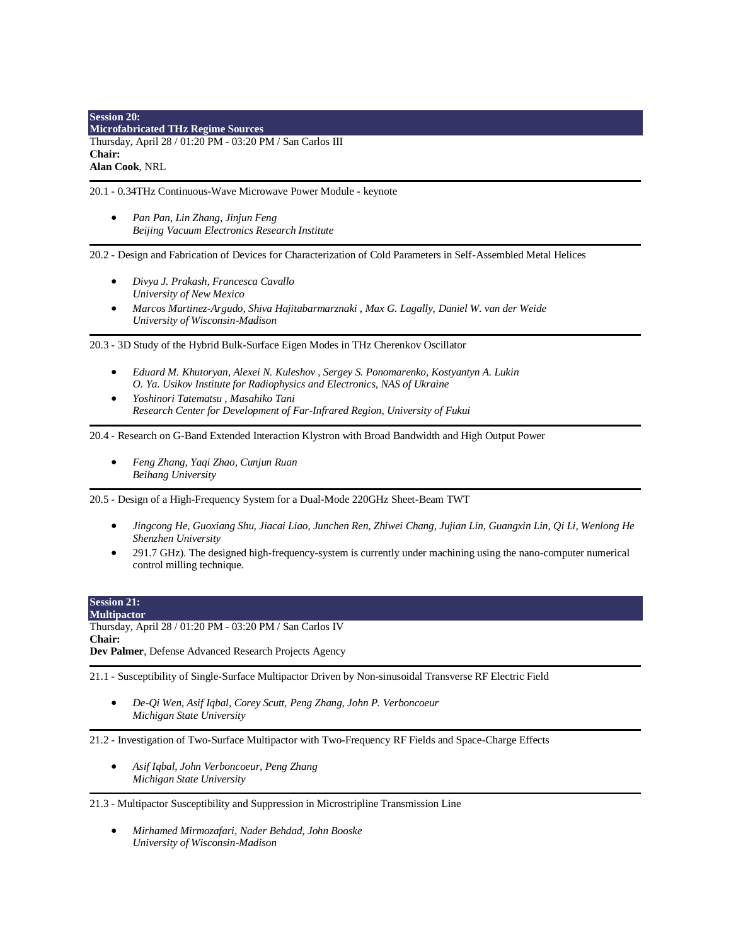# **Session 20: Microfabricated THz Regime Sources**

Thursday, April 28 / 01:20 PM - 03:20 PM / San Carlos III **Chair:**

**Alan Cook**, NRL

20.1 - 0.34THz Continuous-Wave Microwave Power Module - keynote

• *Pan Pan, Lin Zhang, Jinjun Feng Beijing Vacuum Electronics Research Institute*

20.2 - Design and Fabrication of Devices for Characterization of Cold Parameters in Self-Assembled Metal Helices

- *Divya J. Prakash, Francesca Cavallo University of New Mexico*
- *Marcos Martinez-Argudo, Shiva Hajitabarmarznaki , Max G. Lagally, Daniel W. van der Weide University of Wisconsin-Madison*

20.3 - 3D Study of the Hybrid Bulk-Surface Eigen Modes in THz Cherenkov Oscillator

- *Eduard M. Khutoryan, Alexei N. Kuleshov , Sergey S. Ponomarenko, Kostyantyn A. Lukin O. Ya. Usikov Institute for Radiophysics and Electronics, NAS of Ukraine*
- *Yoshinori Tatematsu , Masahiko Tani Research Center for Development of Far-Infrared Region, University of Fukui*

20.4 - Research on G-Band Extended Interaction Klystron with Broad Bandwidth and High Output Power

• *Feng Zhang, Yaqi Zhao, Cunjun Ruan Beihang University*

20.5 - Design of a High-Frequency System for a Dual-Mode 220GHz Sheet-Beam TWT

- *Jingcong He, Guoxiang Shu, Jiacai Liao, Junchen Ren, Zhiwei Chang, Jujian Lin, Guangxin Lin, Qi Li, Wenlong He Shenzhen University*
- 291.7 GHz). The designed high-frequency-system is currently under machining using the nano-computer numerical control milling technique.

| <b>Session 21:</b>                                                                                        |  |
|-----------------------------------------------------------------------------------------------------------|--|
| <b>Multipactor</b>                                                                                        |  |
| Thursday, April 28 / 01:20 PM - 03:20 PM / San Carlos IV                                                  |  |
| <b>Chair:</b>                                                                                             |  |
| <b>Dev Palmer, Defense Advanced Research Projects Agency</b>                                              |  |
|                                                                                                           |  |
| 21.1 - Susceptibility of Single-Surface Multipactor Driven by Non-sinusoidal Transverse RF Electric Field |  |

• *De-Qi Wen, Asif Iqbal, Corey Scutt, Peng Zhang, John P. Verboncoeur Michigan State University*

21.2 - Investigation of Two-Surface Multipactor with Two-Frequency RF Fields and Space-Charge Effects

• *Asif Iqbal, John Verboncoeur, Peng Zhang Michigan State University*

21.3 - Multipactor Susceptibility and Suppression in Microstripline Transmission Line

• *Mirhamed Mirmozafari, Nader Behdad, John Booske University of Wisconsin-Madison*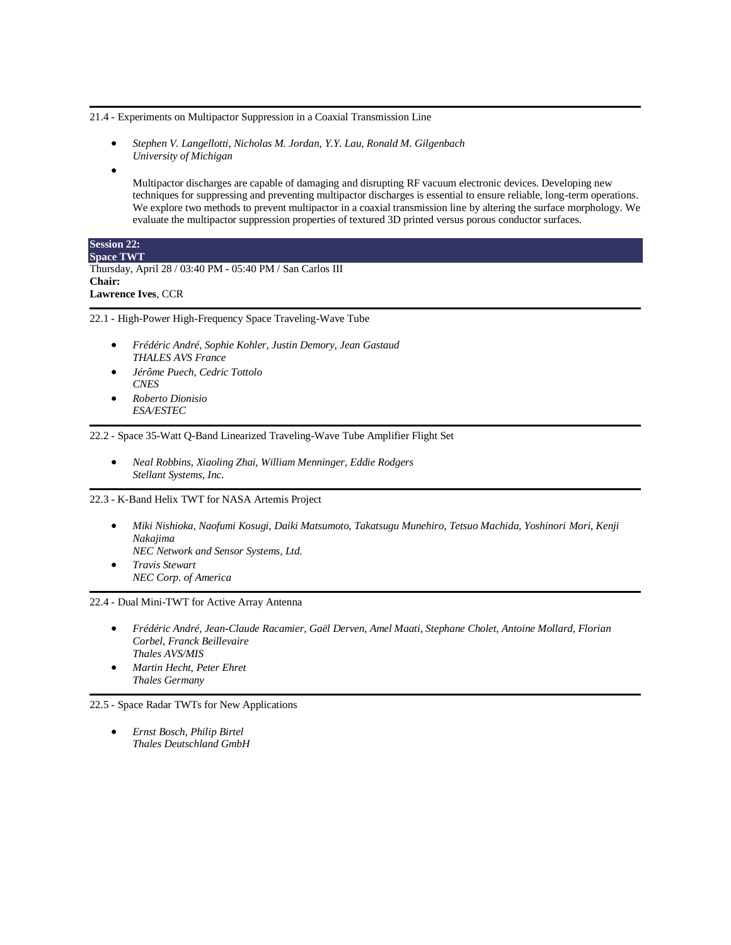21.4 - Experiments on Multipactor Suppression in a Coaxial Transmission Line

- *Stephen V. Langellotti, Nicholas M. Jordan, Y.Y. Lau, Ronald M. Gilgenbach University of Michigan*
- •

Multipactor discharges are capable of damaging and disrupting RF vacuum electronic devices. Developing new techniques for suppressing and preventing multipactor discharges is essential to ensure reliable, long-term operations. We explore two methods to prevent multipactor in a coaxial transmission line by altering the surface morphology. We evaluate the multipactor suppression properties of textured 3D printed versus porous conductor surfaces.

| <b>Session 22:</b>                                        |
|-----------------------------------------------------------|
| <b>Space TWT</b>                                          |
| Thursday, April 28 / 03:40 PM - 05:40 PM / San Carlos III |
| Chair:                                                    |
| <b>Lawrence Ives, CCR</b>                                 |

22.1 - High-Power High-Frequency Space Traveling-Wave Tube

- *Frédéric André, Sophie Kohler, Justin Demory, Jean Gastaud THALES AVS France*
- *Jérôme Puech, Cedric Tottolo CNES*
- *Roberto Dionisio ESA/ESTEC*

22.2 - Space 35-Watt Q-Band Linearized Traveling-Wave Tube Amplifier Flight Set

• *Neal Robbins, Xiaoling Zhai, William Menninger, Eddie Rodgers Stellant Systems, Inc.*

22.3 - K-Band Helix TWT for NASA Artemis Project

- *Miki Nishioka, Naofumi Kosugi, Daiki Matsumoto, Takatsugu Munehiro, Tetsuo Machida, Yoshinori Mori, Kenji Nakajima*
- *NEC Network and Sensor Systems, Ltd.* • *Travis Stewart*

*NEC Corp. of America*

22.4 - Dual Mini-TWT for Active Array Antenna

- *Frédéric André, Jean-Claude Racamier, Gaël Derven, Amel Maati, Stephane Cholet, Antoine Mollard, Florian Corbel, Franck Beillevaire Thales AVS/MIS*
- *Martin Hecht, Peter Ehret Thales Germany*

22.5 - Space Radar TWTs for New Applications

• *Ernst Bosch, Philip Birtel Thales Deutschland GmbH*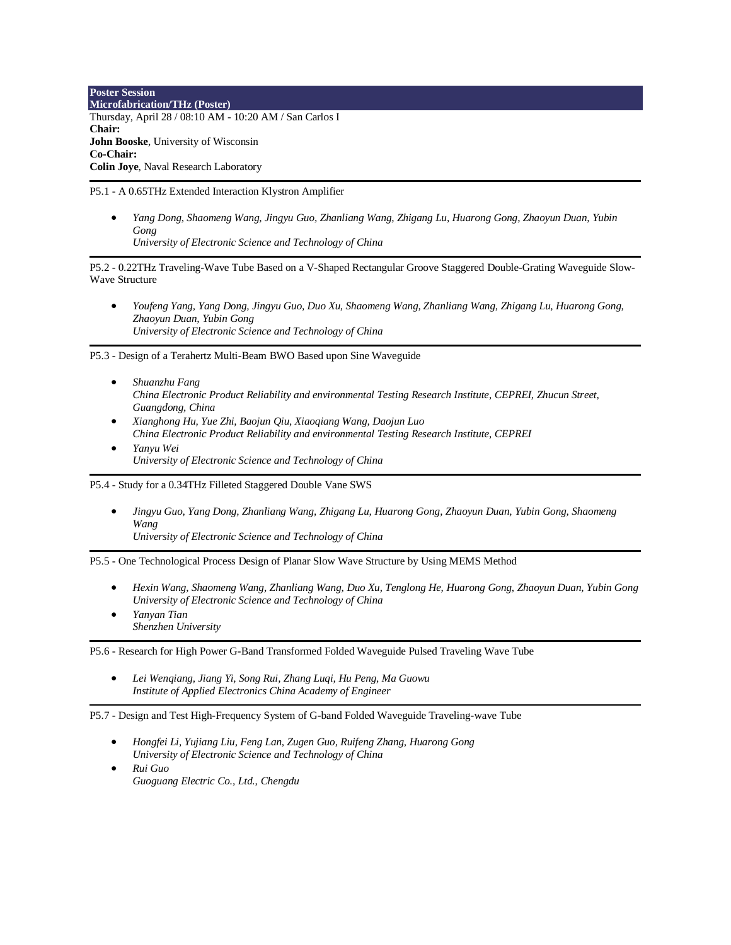**Poster Session Microfabrication/THz (Poster)** Thursday, April 28 / 08:10 AM - 10:20 AM / San Carlos I **Chair: John Booske**, University of Wisconsin **Co-Chair: Colin Joye**, Naval Research Laboratory

P5.1 - A 0.65THz Extended Interaction Klystron Amplifier

• *Yang Dong, Shaomeng Wang, Jingyu Guo, Zhanliang Wang, Zhigang Lu, Huarong Gong, Zhaoyun Duan, Yubin Gong*

*University of Electronic Science and Technology of China*

P5.2 - 0.22THz Traveling-Wave Tube Based on a V-Shaped Rectangular Groove Staggered Double-Grating Waveguide Slow-Wave Structure

• *Youfeng Yang, Yang Dong, Jingyu Guo, Duo Xu, Shaomeng Wang, Zhanliang Wang, Zhigang Lu, Huarong Gong, Zhaoyun Duan, Yubin Gong University of Electronic Science and Technology of China*

P5.3 - Design of a Terahertz Multi-Beam BWO Based upon Sine Waveguide

- *Shuanzhu Fang China Electronic Product Reliability and environmental Testing Research Institute, CEPREI, Zhucun Street, Guangdong, China*
- *Xianghong Hu, Yue Zhi, Baojun Qiu, Xiaoqiang Wang, Daojun Luo China Electronic Product Reliability and environmental Testing Research Institute, CEPREI*
- *Yanyu Wei University of Electronic Science and Technology of China*

P5.4 - Study for a 0.34THz Filleted Staggered Double Vane SWS

• *Jingyu Guo, Yang Dong, Zhanliang Wang, Zhigang Lu, Huarong Gong, Zhaoyun Duan, Yubin Gong, Shaomeng Wang University of Electronic Science and Technology of China*

P5.5 - One Technological Process Design of Planar Slow Wave Structure by Using MEMS Method

- *Hexin Wang, Shaomeng Wang, Zhanliang Wang, Duo Xu, Tenglong He, Huarong Gong, Zhaoyun Duan, Yubin Gong University of Electronic Science and Technology of China*
- *Yanyan Tian Shenzhen University*

P5.6 - Research for High Power G-Band Transformed Folded Waveguide Pulsed Traveling Wave Tube

• *Lei Wenqiang, Jiang Yi, Song Rui, Zhang Luqi, Hu Peng, Ma Guowu Institute of Applied Electronics China Academy of Engineer*

P5.7 - Design and Test High-Frequency System of G-band Folded Waveguide Traveling-wave Tube

- *Hongfei Li, Yujiang Liu, Feng Lan, Zugen Guo, Ruifeng Zhang, Huarong Gong University of Electronic Science and Technology of China*
- *Rui Guo Guoguang Electric Co., Ltd., Chengdu*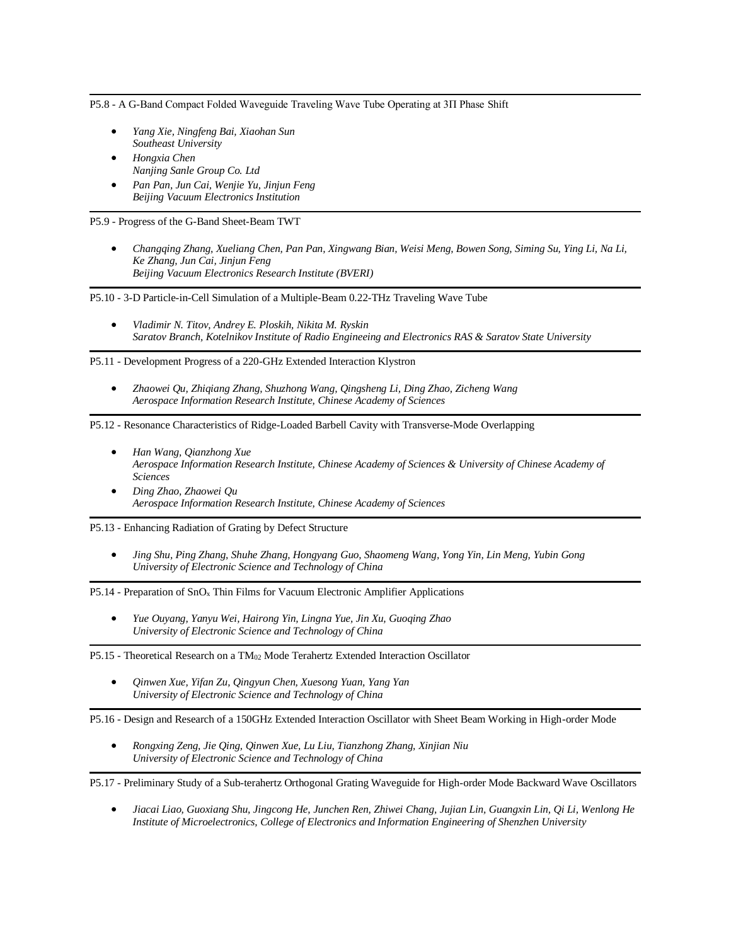P5.8 - A G-Band Compact Folded Waveguide Traveling Wave Tube Operating at 3Π Phase Shift

- *Yang Xie, Ningfeng Bai, Xiaohan Sun Southeast University*
- *Hongxia Chen Nanjing Sanle Group Co. Ltd*
- *Pan Pan, Jun Cai, Wenjie Yu, Jinjun Feng Beijing Vacuum Electronics Institution*

P5.9 - Progress of the G-Band Sheet-Beam TWT

• *Changqing Zhang, Xueliang Chen, Pan Pan, Xingwang Bian, Weisi Meng, Bowen Song, Siming Su, Ying Li, Na Li, Ke Zhang, Jun Cai, Jinjun Feng Beijing Vacuum Electronics Research Institute (BVERI)*

P5.10 - 3-D Particle-in-Cell Simulation of a Multiple-Beam 0.22-THz Traveling Wave Tube

• *Vladimir N. Titov, Andrey E. Ploskih, Nikita M. Ryskin Saratov Branch, Kotelnikov Institute of Radio Engineeing and Electronics RAS & Saratov State University*

P5.11 - Development Progress of a 220-GHz Extended Interaction Klystron

• *Zhaowei Qu, Zhiqiang Zhang, Shuzhong Wang, Qingsheng Li, Ding Zhao, Zicheng Wang Aerospace Information Research Institute, Chinese Academy of Sciences*

P5.12 - Resonance Characteristics of Ridge-Loaded Barbell Cavity with Transverse-Mode Overlapping

- *Han Wang, Qianzhong Xue Aerospace Information Research Institute, Chinese Academy of Sciences & University of Chinese Academy of Sciences*
- *Ding Zhao, Zhaowei Qu Aerospace Information Research Institute, Chinese Academy of Sciences*

P5.13 - Enhancing Radiation of Grating by Defect Structure

• *Jing Shu, Ping Zhang, Shuhe Zhang, Hongyang Guo, Shaomeng Wang, Yong Yin, Lin Meng, Yubin Gong University of Electronic Science and Technology of China*

P5.14 - Preparation of SnO<sup>x</sup> Thin Films for Vacuum Electronic Amplifier Applications

• *Yue Ouyang, Yanyu Wei, Hairong Yin, Lingna Yue, Jin Xu, Guoqing Zhao University of Electronic Science and Technology of China*

P5.15 - Theoretical Research on a TM<sup>02</sup> Mode Terahertz Extended Interaction Oscillator

• *Qinwen Xue, Yifan Zu, Qingyun Chen, Xuesong Yuan, Yang Yan University of Electronic Science and Technology of China*

P5.16 - Design and Research of a 150GHz Extended Interaction Oscillator with Sheet Beam Working in High-order Mode

• *Rongxing Zeng, Jie Qing, Qinwen Xue, Lu Liu, Tianzhong Zhang, Xinjian Niu University of Electronic Science and Technology of China*

P5.17 - Preliminary Study of a Sub-terahertz Orthogonal Grating Waveguide for High-order Mode Backward Wave Oscillators

• *Jiacai Liao, Guoxiang Shu, Jingcong He, Junchen Ren, Zhiwei Chang, Jujian Lin, Guangxin Lin, Qi Li, Wenlong He Institute of Microelectronics, College of Electronics and Information Engineering of Shenzhen University*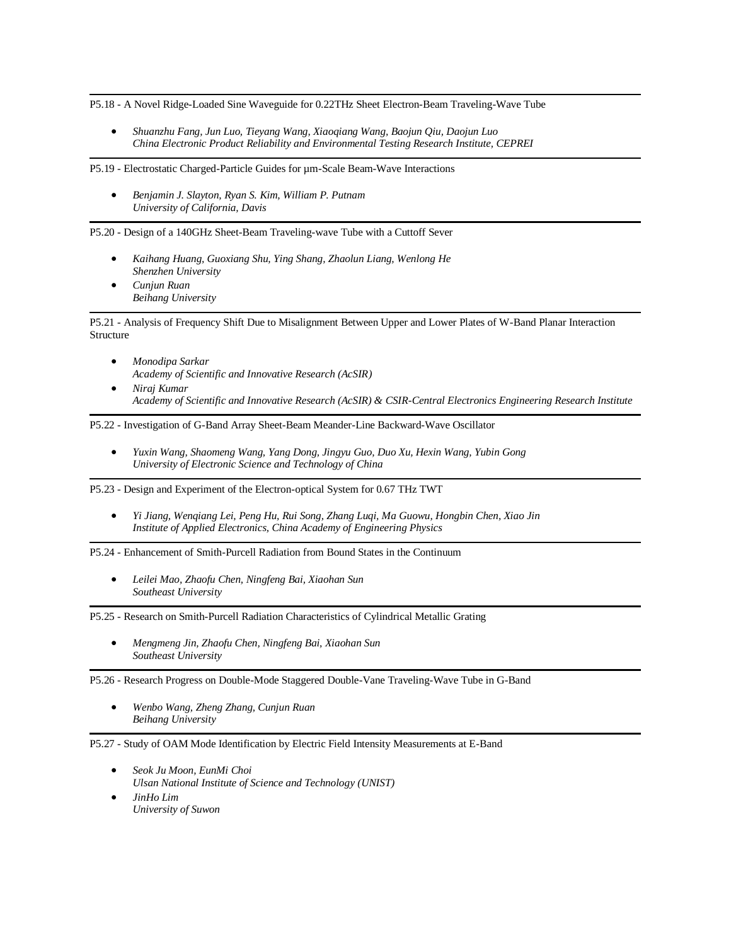P5.18 - A Novel Ridge-Loaded Sine Waveguide for 0.22THz Sheet Electron-Beam Traveling-Wave Tube

• *Shuanzhu Fang, Jun Luo, Tieyang Wang, Xiaoqiang Wang, Baojun Qiu, Daojun Luo China Electronic Product Reliability and Environmental Testing Research Institute, CEPREI*

P5.19 - Electrostatic Charged-Particle Guides for um-Scale Beam-Wave Interactions

• *Benjamin J. Slayton, Ryan S. Kim, William P. Putnam University of California, Davis*

P5.20 - Design of a 140GHz Sheet-Beam Traveling-wave Tube with a Cuttoff Sever

- *Kaihang Huang, Guoxiang Shu, Ying Shang, Zhaolun Liang, Wenlong He Shenzhen University*
- *Cunjun Ruan Beihang University*

P5.21 - Analysis of Frequency Shift Due to Misalignment Between Upper and Lower Plates of W-Band Planar Interaction Structure

- *Monodipa Sarkar Academy of Scientific and Innovative Research (AcSIR)*
- *Niraj Kumar Academy of Scientific and Innovative Research (AcSIR) & CSIR-Central Electronics Engineering Research Institute*

P5.22 - Investigation of G-Band Array Sheet-Beam Meander-Line Backward-Wave Oscillator

• *Yuxin Wang, Shaomeng Wang, Yang Dong, Jingyu Guo, Duo Xu, Hexin Wang, Yubin Gong University of Electronic Science and Technology of China*

P5.23 - Design and Experiment of the Electron-optical System for 0.67 THz TWT

• *Yi Jiang, Wenqiang Lei, Peng Hu, Rui Song, Zhang Luqi, Ma Guowu, Hongbin Chen, Xiao Jin Institute of Applied Electronics, China Academy of Engineering Physics*

P5.24 - Enhancement of Smith-Purcell Radiation from Bound States in the Continuum

• *Leilei Mao, Zhaofu Chen, Ningfeng Bai, Xiaohan Sun Southeast University*

P5.25 - Research on Smith-Purcell Radiation Characteristics of Cylindrical Metallic Grating

• *Mengmeng Jin, Zhaofu Chen, Ningfeng Bai, Xiaohan Sun Southeast University*

P5.26 - Research Progress on Double-Mode Staggered Double-Vane Traveling-Wave Tube in G-Band

• *Wenbo Wang, Zheng Zhang, Cunjun Ruan Beihang University*

P5.27 - Study of OAM Mode Identification by Electric Field Intensity Measurements at E-Band

- *Seok Ju Moon, EunMi Choi Ulsan National Institute of Science and Technology (UNIST)*
- *JinHo Lim University of Suwon*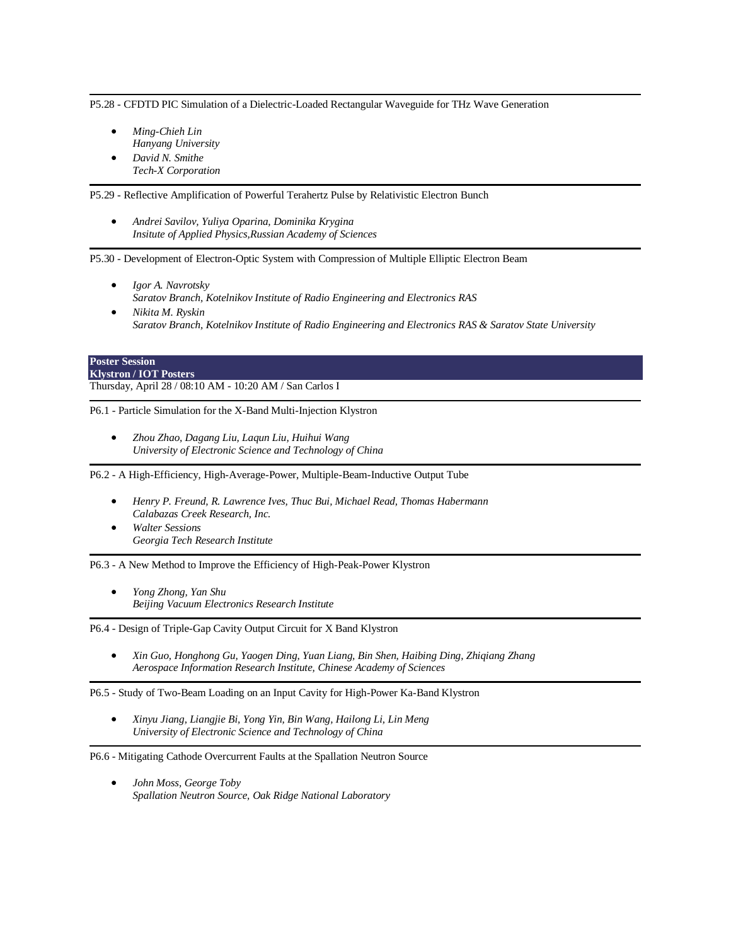P5.28 - CFDTD PIC Simulation of a Dielectric-Loaded Rectangular Waveguide for THz Wave Generation

- *Ming-Chieh Lin Hanyang University*
- *David N. Smithe Tech-X Corporation*

P5.29 - Reflective Amplification of Powerful Terahertz Pulse by Relativistic Electron Bunch

• *Andrei Savilov, Yuliya Oparina, Dominika Krygina Insitute of Applied Physics,Russian Academy of Sciences*

P5.30 - Development of Electron-Optic System with Compression of Multiple Elliptic Electron Beam

- *Igor A. Navrotsky Saratov Branch, Kotelnikov Institute of Radio Engineering and Electronics RAS*
- *Nikita M. Ryskin Saratov Branch, Kotelnikov Institute of Radio Engineering and Electronics RAS & Saratov State University*

#### **Poster Session Klystron / IOT Posters**

Thursday, April 28 / 08:10 AM - 10:20 AM / San Carlos I

P6.1 - Particle Simulation for the X-Band Multi-Injection Klystron

• *Zhou Zhao, Dagang Liu, Laqun Liu, Huihui Wang University of Electronic Science and Technology of China*

P6.2 - A High-Efficiency, High-Average-Power, Multiple-Beam-Inductive Output Tube

- *Henry P. Freund, R. Lawrence Ives, Thuc Bui, Michael Read, Thomas Habermann Calabazas Creek Research, Inc.*
- *Walter Sessions Georgia Tech Research Institute*

P6.3 - A New Method to Improve the Efficiency of High-Peak-Power Klystron

• *Yong Zhong, Yan Shu Beijing Vacuum Electronics Research Institute*

P6.4 - Design of Triple-Gap Cavity Output Circuit for X Band Klystron

• *Xin Guo, Honghong Gu, Yaogen Ding, Yuan Liang, Bin Shen, Haibing Ding, Zhiqiang Zhang Aerospace Information Research Institute, Chinese Academy of Sciences*

P6.5 - Study of Two-Beam Loading on an Input Cavity for High-Power Ka-Band Klystron

• *Xinyu Jiang, Liangjie Bi, Yong Yin, Bin Wang, Hailong Li, Lin Meng University of Electronic Science and Technology of China*

P6.6 - Mitigating Cathode Overcurrent Faults at the Spallation Neutron Source

• *John Moss, George Toby Spallation Neutron Source, Oak Ridge National Laboratory*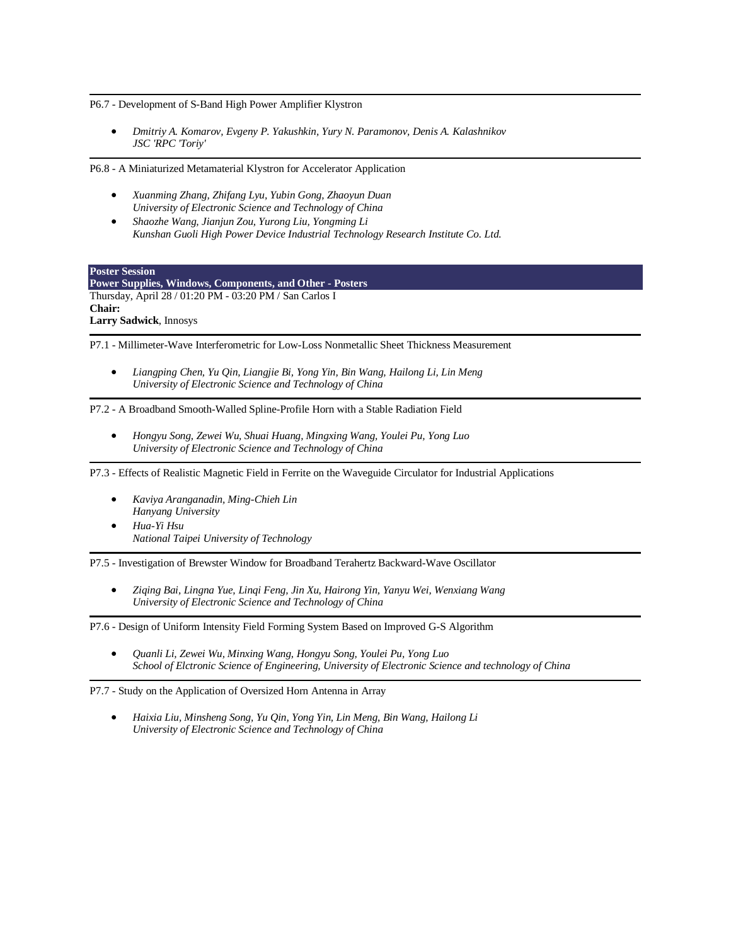P6.7 - Development of S-Band High Power Amplifier Klystron

• *Dmitriy A. Komarov, Evgeny P. Yakushkin, Yury N. Paramonov, Denis A. Kalashnikov JSC 'RPC 'Toriy'*

P6.8 - A Miniaturized Metamaterial Klystron for Accelerator Application

- *Xuanming Zhang, Zhifang Lyu, Yubin Gong, Zhaoyun Duan University of Electronic Science and Technology of China*
- *Shaozhe Wang, Jianjun Zou, Yurong Liu, Yongming Li Kunshan Guoli High Power Device Industrial Technology Research Institute Co. Ltd.*

**Poster Session**

**Power Supplies, Windows, Components, and Other - Posters** Thursday, April 28 / 01:20 PM - 03:20 PM / San Carlos I **Chair: Larry Sadwick**, Innosys

P7.1 - Millimeter-Wave Interferometric for Low-Loss Nonmetallic Sheet Thickness Measurement

• *Liangping Chen, Yu Qin, Liangjie Bi, Yong Yin, Bin Wang, Hailong Li, Lin Meng University of Electronic Science and Technology of China*

P7.2 - A Broadband Smooth-Walled Spline-Profile Horn with a Stable Radiation Field

• *Hongyu Song, Zewei Wu, Shuai Huang, Mingxing Wang, Youlei Pu, Yong Luo University of Electronic Science and Technology of China*

P7.3 - Effects of Realistic Magnetic Field in Ferrite on the Waveguide Circulator for Industrial Applications

- *Kaviya Aranganadin, Ming-Chieh Lin Hanyang University*
	- *Hua-Yi Hsu National Taipei University of Technology*

P7.5 - Investigation of Brewster Window for Broadband Terahertz Backward-Wave Oscillator

• *Ziqing Bai, Lingna Yue, Linqi Feng, Jin Xu, Hairong Yin, Yanyu Wei, Wenxiang Wang University of Electronic Science and Technology of China*

P7.6 - Design of Uniform Intensity Field Forming System Based on Improved G-S Algorithm

• *Quanli Li, Zewei Wu, Minxing Wang, Hongyu Song, Youlei Pu, Yong Luo School of Elctronic Science of Engineering, University of Electronic Science and technology of China*

P7.7 - Study on the Application of Oversized Horn Antenna in Array

• *Haixia Liu, Minsheng Song, Yu Qin, Yong Yin, Lin Meng, Bin Wang, Hailong Li University of Electronic Science and Technology of China*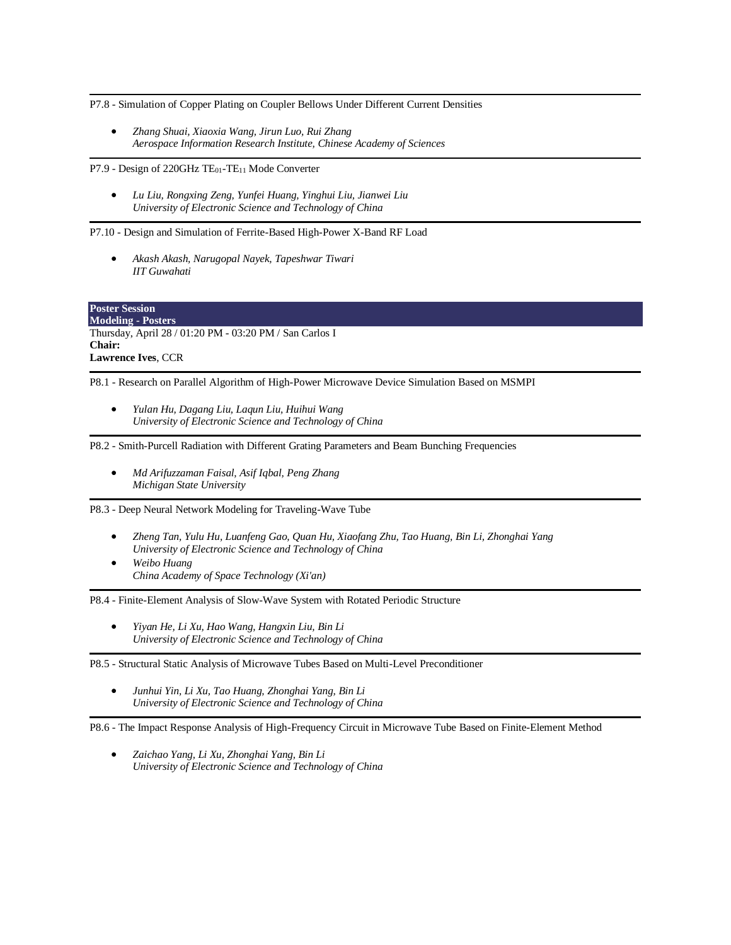P7.8 - Simulation of Copper Plating on Coupler Bellows Under Different Current Densities

• *Zhang Shuai, Xiaoxia Wang, Jirun Luo, Rui Zhang Aerospace Information Research Institute, Chinese Academy of Sciences*

P7.9 - Design of 220GHz TE<sub>01</sub>-TE<sub>11</sub> Mode Converter

• *Lu Liu, Rongxing Zeng, Yunfei Huang, Yinghui Liu, Jianwei Liu University of Electronic Science and Technology of China*

P7.10 - Design and Simulation of Ferrite-Based High-Power X-Band RF Load

• *Akash Akash, Narugopal Nayek, Tapeshwar Tiwari IIT Guwahati*

**Poster Session Modeling - Posters** Thursday, April 28 / 01:20 PM - 03:20 PM / San Carlos I **Chair: Lawrence Ives**, CCR

P8.1 - Research on Parallel Algorithm of High-Power Microwave Device Simulation Based on MSMPI

• *Yulan Hu, Dagang Liu, Laqun Liu, Huihui Wang University of Electronic Science and Technology of China*

P8.2 - Smith-Purcell Radiation with Different Grating Parameters and Beam Bunching Frequencies

• *Md Arifuzzaman Faisal, Asif Iqbal, Peng Zhang Michigan State University*

P8.3 - Deep Neural Network Modeling for Traveling-Wave Tube

- *Zheng Tan, Yulu Hu, Luanfeng Gao, Quan Hu, Xiaofang Zhu, Tao Huang, Bin Li, Zhonghai Yang University of Electronic Science and Technology of China*
- *Weibo Huang China Academy of Space Technology (Xi'an)*

P8.4 - Finite-Element Analysis of Slow-Wave System with Rotated Periodic Structure

• *Yiyan He, Li Xu, Hao Wang, Hangxin Liu, Bin Li University of Electronic Science and Technology of China*

P8.5 - Structural Static Analysis of Microwave Tubes Based on Multi-Level Preconditioner

• *Junhui Yin, Li Xu, Tao Huang, Zhonghai Yang, Bin Li University of Electronic Science and Technology of China*

P8.6 - The Impact Response Analysis of High-Frequency Circuit in Microwave Tube Based on Finite-Element Method

• *Zaichao Yang, Li Xu, Zhonghai Yang, Bin Li University of Electronic Science and Technology of China*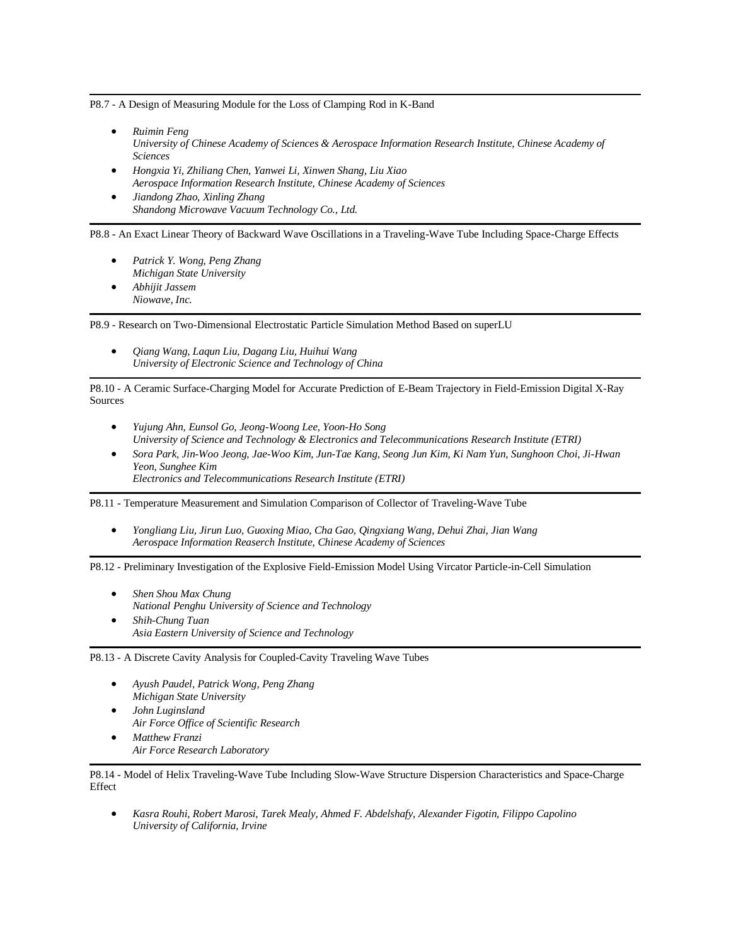P8.7 - A Design of Measuring Module for the Loss of Clamping Rod in K-Band

- *Ruimin Feng University of Chinese Academy of Sciences & Aerospace Information Research Institute, Chinese Academy of Sciences*
- *Hongxia Yi, Zhiliang Chen, Yanwei Li, Xinwen Shang, Liu Xiao Aerospace Information Research Institute, Chinese Academy of Sciences*
- *Jiandong Zhao, Xinling Zhang Shandong Microwave Vacuum Technology Co., Ltd.*

P8.8 - An Exact Linear Theory of Backward Wave Oscillations in a Traveling-Wave Tube Including Space-Charge Effects

- *Patrick Y. Wong, Peng Zhang Michigan State University* • *Abhijit Jassem*
- *Niowave, Inc.*

P8.9 - Research on Two-Dimensional Electrostatic Particle Simulation Method Based on superLU

• *Qiang Wang, Laqun Liu, Dagang Liu, Huihui Wang University of Electronic Science and Technology of China*

P8.10 - A Ceramic Surface-Charging Model for Accurate Prediction of E-Beam Trajectory in Field-Emission Digital X-Ray Sources

- *Yujung Ahn, Eunsol Go, Jeong-Woong Lee, Yoon-Ho Song University of Science and Technology & Electronics and Telecommunications Research Institute (ETRI)*
- *Sora Park, Jin-Woo Jeong, Jae-Woo Kim, Jun-Tae Kang, Seong Jun Kim, Ki Nam Yun, Sunghoon Choi, Ji-Hwan Yeon, Sunghee Kim Electronics and Telecommunications Research Institute (ETRI)*

P8.11 - Temperature Measurement and Simulation Comparison of Collector of Traveling-Wave Tube

• *Yongliang Liu, Jirun Luo, Guoxing Miao, Cha Gao, Qingxiang Wang, Dehui Zhai, Jian Wang Aerospace Information Reaserch Institute, Chinese Academy of Sciences*

P8.12 - Preliminary Investigation of the Explosive Field-Emission Model Using Vircator Particle-in-Cell Simulation

- *Shen Shou Max Chung National Penghu University of Science and Technology*
- *Shih-Chung Tuan Asia Eastern University of Science and Technology*

P8.13 - A Discrete Cavity Analysis for Coupled-Cavity Traveling Wave Tubes

- *Ayush Paudel, Patrick Wong, Peng Zhang Michigan State University*
- *John Luginsland Air Force Office of Scientific Research*
- *Matthew Franzi Air Force Research Laboratory*

P8.14 - Model of Helix Traveling-Wave Tube Including Slow-Wave Structure Dispersion Characteristics and Space-Charge Effect

• *Kasra Rouhi, Robert Marosi, Tarek Mealy, Ahmed F. Abdelshafy, Alexander Figotin, Filippo Capolino University of California, Irvine*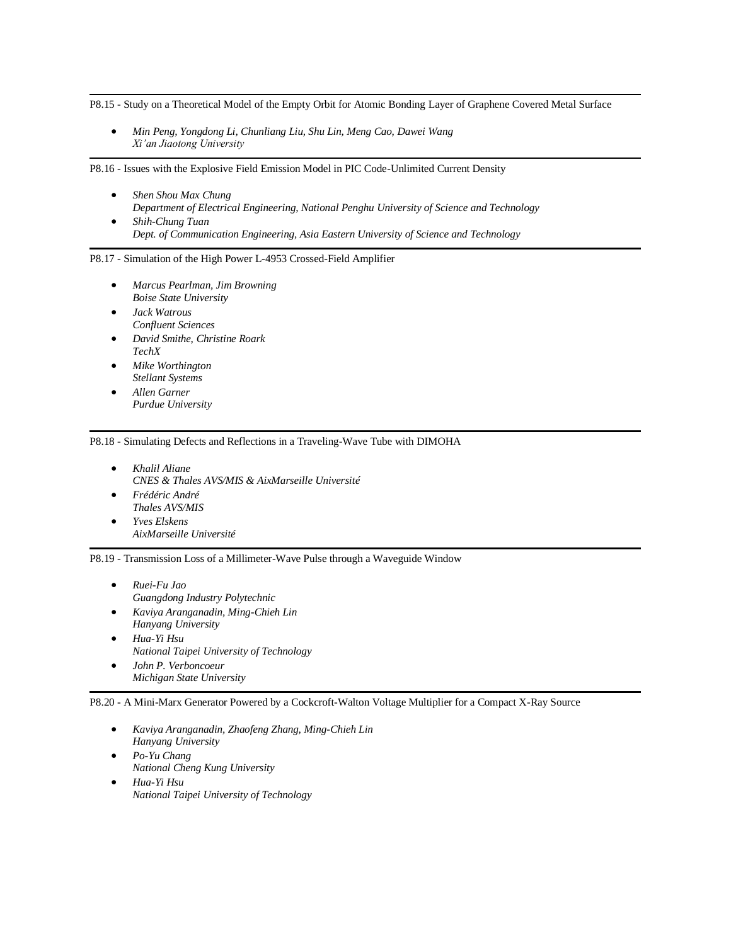P8.15 - Study on a Theoretical Model of the Empty Orbit for Atomic Bonding Layer of Graphene Covered Metal Surface

• *Min Peng, Yongdong Li, Chunliang Liu, Shu Lin, Meng Cao, Dawei Wang Xi'an Jiaotong University*

P8.16 - Issues with the Explosive Field Emission Model in PIC Code-Unlimited Current Density

- *Shen Shou Max Chung Department of Electrical Engineering, National Penghu University of Science and Technology*
- *Shih-Chung Tuan Dept. of Communication Engineering, Asia Eastern University of Science and Technology*

P8.17 - Simulation of the High Power L-4953 Crossed-Field Amplifier

- *Marcus Pearlman, Jim Browning Boise State University*
- *Jack Watrous Confluent Sciences*
- *David Smithe, Christine Roark TechX*
- *Mike Worthington Stellant Systems*
- *Allen Garner Purdue University*

P8.18 - Simulating Defects and Reflections in a Traveling-Wave Tube with DIMOHA

- *Khalil Aliane CNES & Thales AVS/MIS & AixMarseille Université*
- *Frédéric André Thales AVS/MIS*
- *Yves Elskens AixMarseille Université*

P8.19 - Transmission Loss of a Millimeter-Wave Pulse through a Waveguide Window

- *Ruei-Fu Jao Guangdong Industry Polytechnic*
- *Kaviya Aranganadin, Ming-Chieh Lin Hanyang University*
- *Hua-Yi Hsu National Taipei University of Technology* • *John P. Verboncoeur*
- *Michigan State University*

P8.20 - A Mini-Marx Generator Powered by a Cockcroft-Walton Voltage Multiplier for a Compact X-Ray Source

- *Kaviya Aranganadin, Zhaofeng Zhang, Ming-Chieh Lin Hanyang University*
- *Po-Yu Chang National Cheng Kung University*
- *Hua-Yi Hsu National Taipei University of Technology*